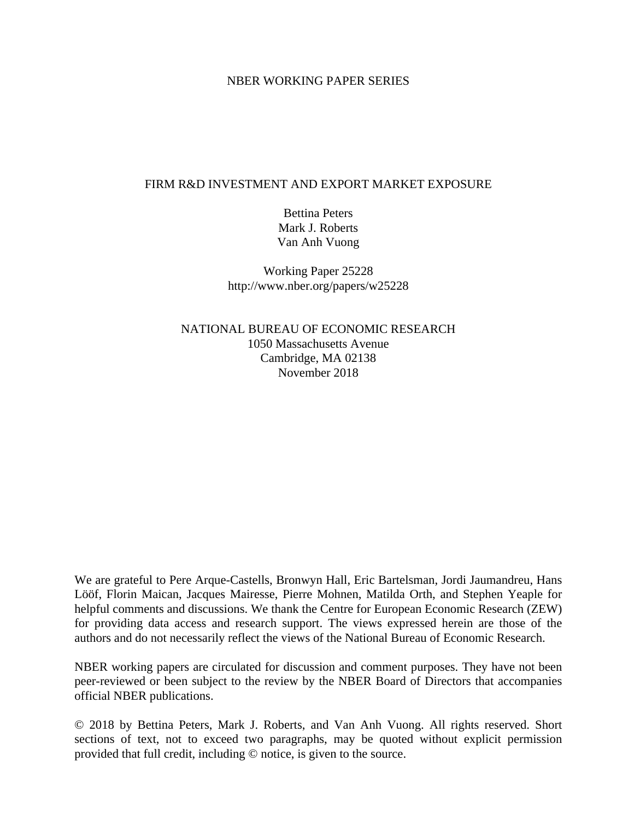## NBER WORKING PAPER SERIES

## FIRM R&D INVESTMENT AND EXPORT MARKET EXPOSURE

Bettina Peters Mark J. Roberts Van Anh Vuong

Working Paper 25228 http://www.nber.org/papers/w25228

NATIONAL BUREAU OF ECONOMIC RESEARCH 1050 Massachusetts Avenue Cambridge, MA 02138 November 2018

We are grateful to Pere Arque-Castells, Bronwyn Hall, Eric Bartelsman, Jordi Jaumandreu, Hans Lööf, Florin Maican, Jacques Mairesse, Pierre Mohnen, Matilda Orth, and Stephen Yeaple for helpful comments and discussions. We thank the Centre for European Economic Research (ZEW) for providing data access and research support. The views expressed herein are those of the authors and do not necessarily reflect the views of the National Bureau of Economic Research.

NBER working papers are circulated for discussion and comment purposes. They have not been peer-reviewed or been subject to the review by the NBER Board of Directors that accompanies official NBER publications.

© 2018 by Bettina Peters, Mark J. Roberts, and Van Anh Vuong. All rights reserved. Short sections of text, not to exceed two paragraphs, may be quoted without explicit permission provided that full credit, including © notice, is given to the source.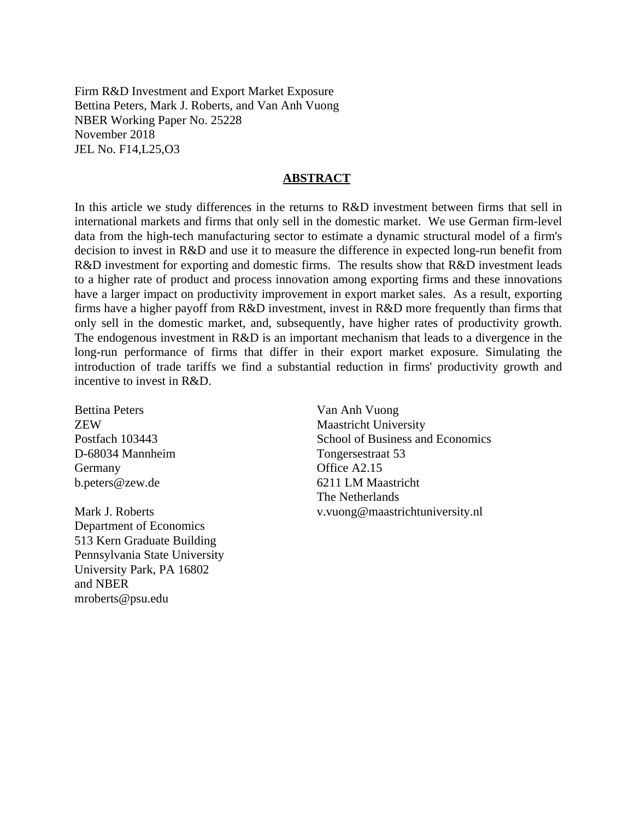Firm R&D Investment and Export Market Exposure Bettina Peters, Mark J. Roberts, and Van Anh Vuong NBER Working Paper No. 25228 November 2018 JEL No. F14,L25,O3

### **ABSTRACT**

In this article we study differences in the returns to R&D investment between firms that sell in international markets and firms that only sell in the domestic market. We use German firm-level data from the high-tech manufacturing sector to estimate a dynamic structural model of a firm's decision to invest in R&D and use it to measure the difference in expected long-run benefit from R&D investment for exporting and domestic firms. The results show that R&D investment leads to a higher rate of product and process innovation among exporting firms and these innovations have a larger impact on productivity improvement in export market sales. As a result, exporting firms have a higher payoff from R&D investment, invest in R&D more frequently than firms that only sell in the domestic market, and, subsequently, have higher rates of productivity growth. The endogenous investment in R&D is an important mechanism that leads to a divergence in the long-run performance of firms that differ in their export market exposure. Simulating the introduction of trade tariffs we find a substantial reduction in firms' productivity growth and incentive to invest in R&D.

Bettina Peters ZEW Postfach 103443 D-68034 Mannheim Germany b.peters@zew.de

Mark J. Roberts Department of Economics 513 Kern Graduate Building Pennsylvania State University University Park, PA 16802 and NBER mroberts@psu.edu

Van Anh Vuong Maastricht University School of Business and Economics Tongersestraat 53 Office A2.15 6211 LM Maastricht The Netherlands v.vuong@maastrichtuniversity.nl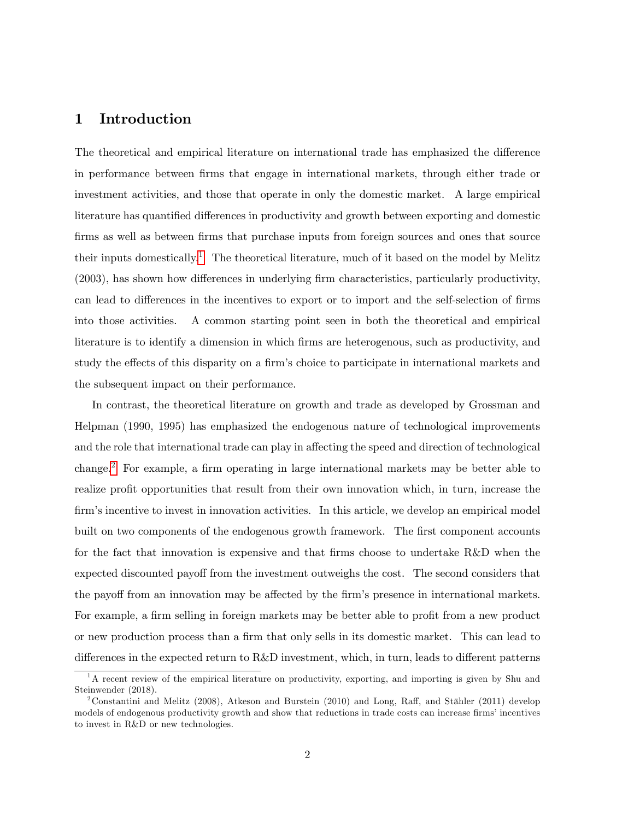## 1 Introduction

The theoretical and empirical literature on international trade has emphasized the difference in performance between Örms that engage in international markets, through either trade or investment activities, and those that operate in only the domestic market. A large empirical literature has quantified differences in productivity and growth between exporting and domestic firms as well as between firms that purchase inputs from foreign sources and ones that source their inputs domestically.<sup>[1](#page-2-0)</sup> The theoretical literature, much of it based on the model by Melitz  $(2003)$ , has shown how differences in underlying firm characteristics, particularly productivity, can lead to differences in the incentives to export or to import and the self-selection of firms into those activities. A common starting point seen in both the theoretical and empirical literature is to identify a dimension in which firms are heterogenous, such as productivity, and study the effects of this disparity on a firm's choice to participate in international markets and the subsequent impact on their performance.

In contrast, the theoretical literature on growth and trade as developed by Grossman and Helpman (1990, 1995) has emphasized the endogenous nature of technological improvements and the role that international trade can play in affecting the speed and direction of technological change.<sup>[2](#page-2-1)</sup> For example, a firm operating in large international markets may be better able to realize profit opportunities that result from their own innovation which, in turn, increase the firm's incentive to invest in innovation activities. In this article, we develop an empirical model built on two components of the endogenous growth framework. The first component accounts for the fact that innovation is expensive and that firms choose to undertake R&D when the expected discounted payoff from the investment outweighs the cost. The second considers that the payoff from an innovation may be affected by the firm's presence in international markets. For example, a firm selling in foreign markets may be better able to profit from a new product or new production process than a firm that only sells in its domestic market. This can lead to differences in the expected return to  $R\&D$  investment, which, in turn, leads to different patterns

<span id="page-2-0"></span> $1<sup>1</sup>A$  recent review of the empirical literature on productivity, exporting, and importing is given by Shu and Steinwender (2018).

<span id="page-2-1"></span><sup>&</sup>lt;sup>2</sup>Constantini and Melitz (2008), Atkeson and Burstein (2010) and Long, Raff, and Stähler (2011) develop models of endogenous productivity growth and show that reductions in trade costs can increase firms' incentives to invest in R&D or new technologies.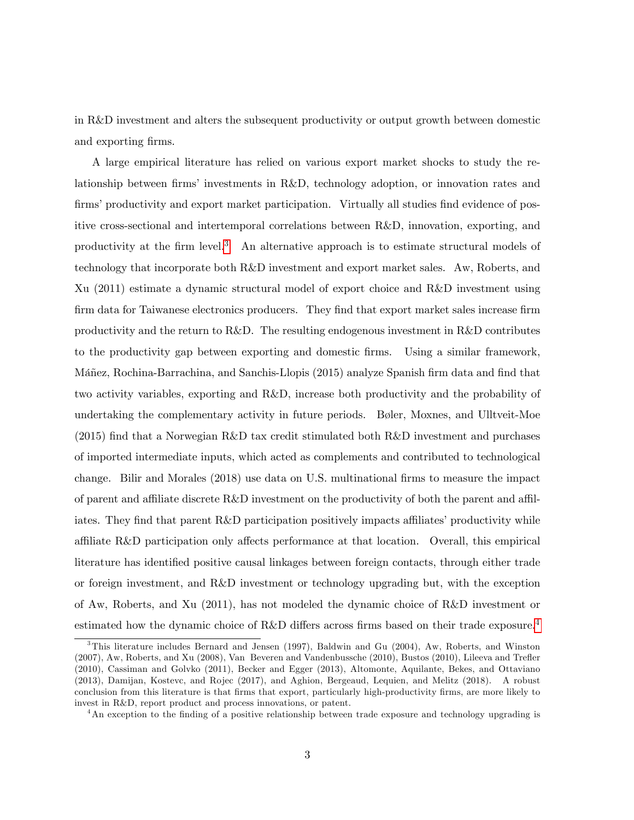in R&D investment and alters the subsequent productivity or output growth between domestic and exporting firms.

A large empirical literature has relied on various export market shocks to study the relationship between firms' investments in R&D, technology adoption, or innovation rates and firms' productivity and export market participation. Virtually all studies find evidence of positive cross-sectional and intertemporal correlations between R&D, innovation, exporting, and productivity at the firm level.<sup>[3](#page-3-0)</sup> An alternative approach is to estimate structural models of technology that incorporate both R&D investment and export market sales. Aw, Roberts, and Xu (2011) estimate a dynamic structural model of export choice and R&D investment using firm data for Taiwanese electronics producers. They find that export market sales increase firm productivity and the return to R&D. The resulting endogenous investment in R&D contributes to the productivity gap between exporting and domestic Örms. Using a similar framework, Máñez, Rochina-Barrachina, and Sanchis-Llopis (2015) analyze Spanish firm data and find that two activity variables, exporting and R&D, increase both productivity and the probability of undertaking the complementary activity in future periods. Bøler, Moxnes, and Ulltveit-Moe  $(2015)$  find that a Norwegian R&D tax credit stimulated both R&D investment and purchases of imported intermediate inputs, which acted as complements and contributed to technological change. Bilir and Morales (2018) use data on U.S. multinational firms to measure the impact of parent and affiliate discrete  $R\&D$  investment on the productivity of both the parent and affiliates. They find that parent R&D participation positively impacts affiliates' productivity while affiliate  $R&D$  participation only affects performance at that location. Overall, this empirical literature has identified positive causal linkages between foreign contacts, through either trade or foreign investment, and R&D investment or technology upgrading but, with the exception of Aw, Roberts, and Xu (2011), has not modeled the dynamic choice of R&D investment or estimated how the dynamic choice of R&D differs across firms based on their trade exposure.<sup>[4](#page-3-1)</sup>

<span id="page-3-0"></span><sup>3</sup>This literature includes Bernard and Jensen (1997), Baldwin and Gu (2004), Aw, Roberts, and Winston (2007), Aw, Roberts, and Xu (2008), Van Beveren and Vandenbussche (2010), Bustos (2010), Lileeva and Treáer (2010), Cassiman and Golvko (2011), Becker and Egger (2013), Altomonte, Aquilante, Bekes, and Ottaviano (2013), Damijan, Kostevc, and Rojec (2017), and Aghion, Bergeaud, Lequien, and Melitz (2018). A robust conclusion from this literature is that Örms that export, particularly high-productivity Örms, are more likely to invest in R&D, report product and process innovations, or patent.

<span id="page-3-1"></span><sup>&</sup>lt;sup>4</sup>An exception to the finding of a positive relationship between trade exposure and technology upgrading is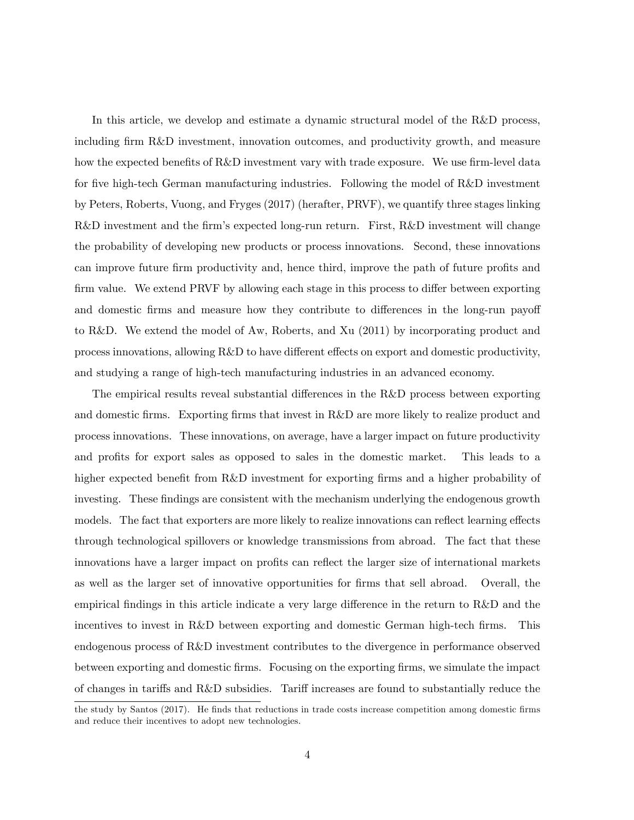In this article, we develop and estimate a dynamic structural model of the R&D process, including firm R&D investment, innovation outcomes, and productivity growth, and measure how the expected benefits of R&D investment vary with trade exposure. We use firm-level data for five high-tech German manufacturing industries. Following the model of R&D investment by Peters, Roberts, Vuong, and Fryges (2017) (herafter, PRVF), we quantify three stages linking  $R&D$  investment and the firm's expected long-run return. First,  $R&D$  investment will change the probability of developing new products or process innovations. Second, these innovations can improve future firm productivity and, hence third, improve the path of future profits and firm value. We extend PRVF by allowing each stage in this process to differ between exporting and domestic firms and measure how they contribute to differences in the long-run payoff to R&D. We extend the model of Aw, Roberts, and Xu (2011) by incorporating product and process innovations, allowing R&D to have different effects on export and domestic productivity, and studying a range of high-tech manufacturing industries in an advanced economy.

The empirical results reveal substantial differences in the  $R\&D$  process between exporting and domestic firms. Exporting firms that invest in R&D are more likely to realize product and process innovations. These innovations, on average, have a larger impact on future productivity and profits for export sales as opposed to sales in the domestic market. This leads to a higher expected benefit from R&D investment for exporting firms and a higher probability of investing. These findings are consistent with the mechanism underlying the endogenous growth models. The fact that exporters are more likely to realize innovations can reflect learning effects through technological spillovers or knowledge transmissions from abroad. The fact that these innovations have a larger impact on profits can reflect the larger size of international markets as well as the larger set of innovative opportunities for firms that sell abroad. Overall, the empirical findings in this article indicate a very large difference in the return to  $R\&D$  and the incentives to invest in R&D between exporting and domestic German high-tech firms. This endogenous process of R&D investment contributes to the divergence in performance observed between exporting and domestic firms. Focusing on the exporting firms, we simulate the impact of changes in tariffs and R&D subsidies. Tariff increases are found to substantially reduce the

the study by Santos (2017). He finds that reductions in trade costs increase competition among domestic firms and reduce their incentives to adopt new technologies.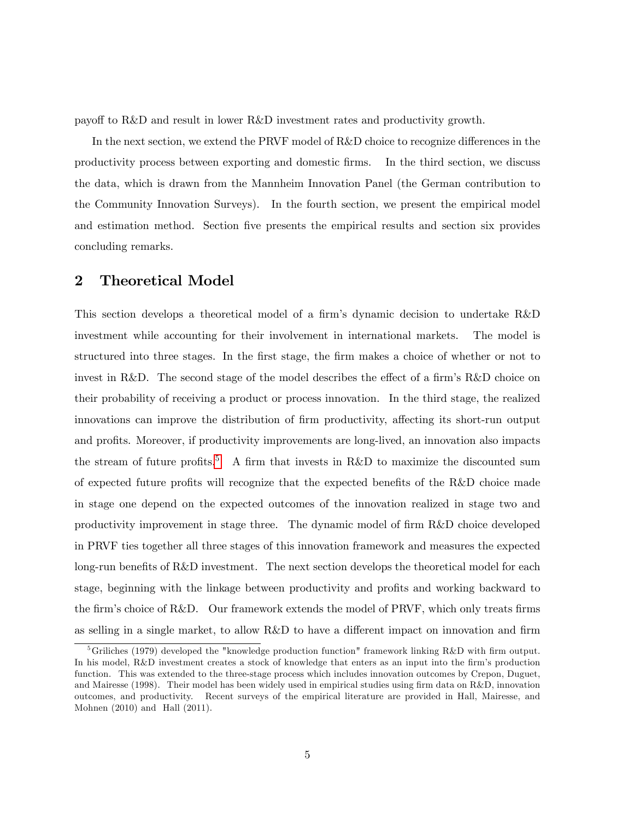payo§ to R&D and result in lower R&D investment rates and productivity growth.

In the next section, we extend the PRVF model of  $R&D$  choice to recognize differences in the productivity process between exporting and domestic Örms. In the third section, we discuss the data, which is drawn from the Mannheim Innovation Panel (the German contribution to the Community Innovation Surveys). In the fourth section, we present the empirical model and estimation method. Section five presents the empirical results and section six provides concluding remarks.

## 2 Theoretical Model

This section develops a theoretical model of a firm's dynamic decision to undertake  $R\&D$ investment while accounting for their involvement in international markets. The model is structured into three stages. In the first stage, the firm makes a choice of whether or not to invest in R&D. The second stage of the model describes the effect of a firm's R&D choice on their probability of receiving a product or process innovation. In the third stage, the realized innovations can improve the distribution of firm productivity, affecting its short-run output and profits. Moreover, if productivity improvements are long-lived, an innovation also impacts the stream of future profits.<sup>[5](#page-5-0)</sup> A firm that invests in R&D to maximize the discounted sum of expected future profits will recognize that the expected benefits of the R&D choice made in stage one depend on the expected outcomes of the innovation realized in stage two and productivity improvement in stage three. The dynamic model of firm R&D choice developed in PRVF ties together all three stages of this innovation framework and measures the expected long-run benefits of R&D investment. The next section develops the theoretical model for each stage, beginning with the linkage between productivity and profits and working backward to the firm's choice of  $R&D$ . Our framework extends the model of PRVF, which only treats firms as selling in a single market, to allow  $R\&D$  to have a different impact on innovation and firm

<span id="page-5-0"></span><sup>&</sup>lt;sup>5</sup>Griliches (1979) developed the "knowledge production function" framework linking R&D with firm output. In his model, R&D investment creates a stock of knowledge that enters as an input into the firm's production function. This was extended to the three-stage process which includes innovation outcomes by Crepon, Duguet, and Mairesse (1998). Their model has been widely used in empirical studies using firm data on  $R\&D$ , innovation outcomes, and productivity. Recent surveys of the empirical literature are provided in Hall, Mairesse, and Mohnen (2010) and Hall (2011).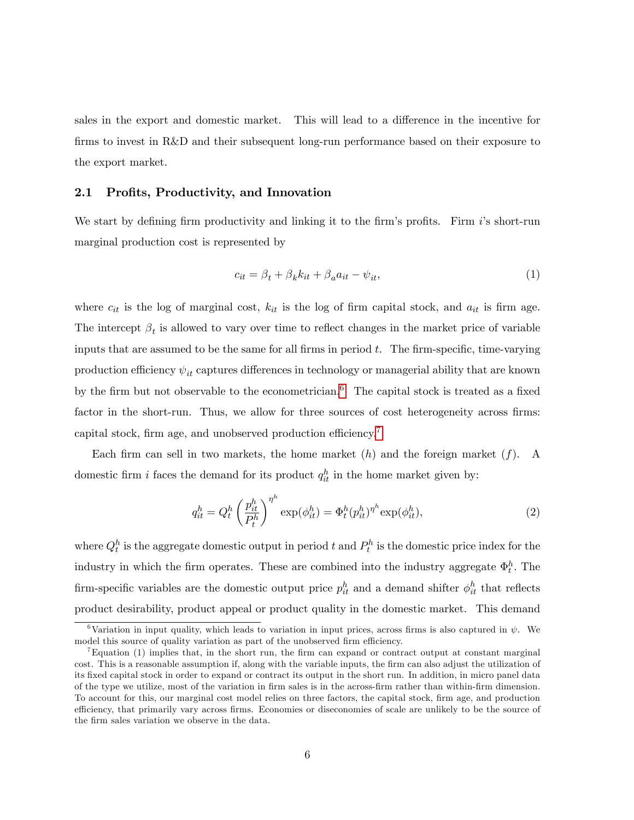sales in the export and domestic market. This will lead to a difference in the incentive for firms to invest in R&D and their subsequent long-run performance based on their exposure to the export market.

#### 2.1 Profits, Productivity, and Innovation

We start by defining firm productivity and linking it to the firm's profits. Firm  $i$ 's short-run marginal production cost is represented by

$$
c_{it} = \beta_t + \beta_k k_{it} + \beta_a a_{it} - \psi_{it},\tag{1}
$$

where  $c_{it}$  is the log of marginal cost,  $k_{it}$  is the log of firm capital stock, and  $a_{it}$  is firm age. The intercept  $\beta_t$  is allowed to vary over time to reflect changes in the market price of variable inputs that are assumed to be the same for all firms in period  $t$ . The firm-specific, time-varying production efficiency  $\psi_{it}$  captures differences in technology or managerial ability that are known by the firm but not observable to the econometrician.<sup>[6](#page-6-0)</sup> The capital stock is treated as a fixed factor in the short-run. Thus, we allow for three sources of cost heterogeneity across firms: capital stock, firm age, and unobserved production efficiency.<sup>[7](#page-6-1)</sup>

Each firm can sell in two markets, the home market  $(h)$  and the foreign market  $(f)$ . A domestic firm *i* faces the demand for its product  $q_{it}^h$  in the home market given by:

$$
q_{it}^h = Q_t^h \left(\frac{p_{it}^h}{P_t^h}\right)^{\eta^h} \exp(\phi_{it}^h) = \Phi_t^h (p_{it}^h)^{\eta^h} \exp(\phi_{it}^h),\tag{2}
$$

where  $Q_t^h$  is the aggregate domestic output in period t and  $P_t^h$  is the domestic price index for the industry in which the firm operates. These are combined into the industry aggregate  $\Phi_t^h$ . The firm-specific variables are the domestic output price  $p_{it}^h$  and a demand shifter  $\phi_{it}^h$  that reflects product desirability, product appeal or product quality in the domestic market. This demand

<span id="page-6-0"></span><sup>&</sup>lt;sup>6</sup>Variation in input quality, which leads to variation in input prices, across firms is also captured in  $\psi$ . We model this source of quality variation as part of the unobserved firm efficiency.

<span id="page-6-1"></span> $T_{\text{Equation (1) implies that, in the short run, the firm can expand or contract output at constant marginal.}$ cost. This is a reasonable assumption if, along with the variable inputs, the firm can also adjust the utilization of its Öxed capital stock in order to expand or contract its output in the short run. In addition, in micro panel data of the type we utilize, most of the variation in Örm sales is in the across-Örm rather than within-Örm dimension. To account for this, our marginal cost model relies on three factors, the capital stock, Örm age, and production efficiency, that primarily vary across firms. Economies or diseconomies of scale are unlikely to be the source of the firm sales variation we observe in the data.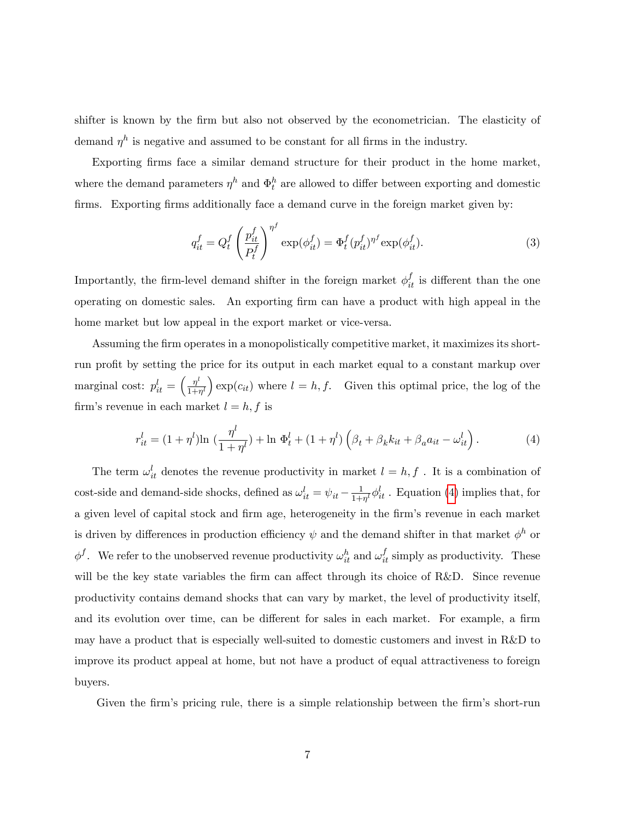shifter is known by the Örm but also not observed by the econometrician. The elasticity of demand  $\eta^h$  is negative and assumed to be constant for all firms in the industry.

Exporting firms face a similar demand structure for their product in the home market, where the demand parameters  $\eta^h$  and  $\Phi_t^h$  are allowed to differ between exporting and domestic firms. Exporting firms additionally face a demand curve in the foreign market given by:

<span id="page-7-1"></span>
$$
q_{it}^f = Q_t^f \left(\frac{p_{it}^f}{P_t^f}\right)^{\eta^f} \exp(\phi_{it}^f) = \Phi_t^f (p_{it}^f)^{\eta^f} \exp(\phi_{it}^f).
$$
 (3)

Importantly, the firm-level demand shifter in the foreign market  $\phi_{it}^f$  is different than the one operating on domestic sales. An exporting Örm can have a product with high appeal in the home market but low appeal in the export market or vice-versa.

Assuming the Örm operates in a monopolistically competitive market, it maximizes its shortrun profit by setting the price for its output in each market equal to a constant markup over marginal cost:  $p_{it}^l = \left(\frac{\eta^l}{1+i}\right)$  $\left(\frac{\eta^l}{1+\eta^l}\right) \exp(c_{it})$  where  $l = h, f$ . Given this optimal price, the log of the firm's revenue in each market  $l = h, f$  is

<span id="page-7-0"></span>
$$
r_{it}^{l} = (1 + \eta^{l}) \ln \left( \frac{\eta^{l}}{1 + \eta^{l}} \right) + \ln \Phi_{t}^{l} + (1 + \eta^{l}) \left( \beta_{t} + \beta_{k} k_{it} + \beta_{a} a_{it} - \omega_{it}^{l} \right). \tag{4}
$$

The term  $\omega_{it}^l$  denotes the revenue productivity in market  $l = h, f$ . It is a combination of cost-side and demand-side shocks, defined as  $\omega_{it}^{l} = \psi_{it} - \frac{1}{1+h}$  $\frac{1}{1+\eta^l}\phi_{it}^l$ . Equation [\(4\)](#page-7-0) implies that, for a given level of capital stock and firm age, heterogeneity in the firm's revenue in each market is driven by differences in production efficiency  $\psi$  and the demand shifter in that market  $\phi^h$  or  $\phi^f$ . We refer to the unobserved revenue productivity  $\omega_{it}^h$  and  $\omega_{it}^f$  simply as productivity. These will be the key state variables the firm can affect through its choice of R&D. Since revenue productivity contains demand shocks that can vary by market, the level of productivity itself, and its evolution over time, can be different for sales in each market. For example, a firm may have a product that is especially well-suited to domestic customers and invest in R&D to improve its product appeal at home, but not have a product of equal attractiveness to foreign buyers.

Given the firm's pricing rule, there is a simple relationship between the firm's short-run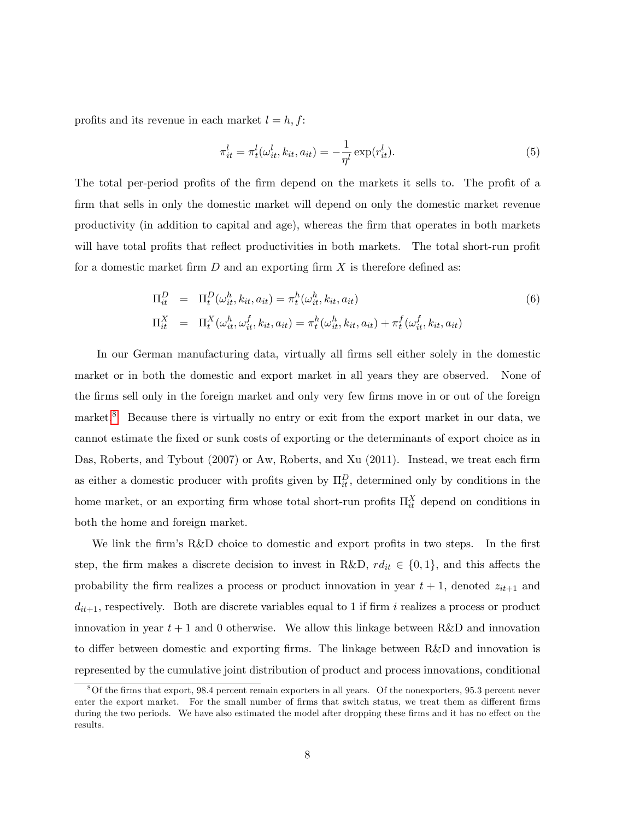profits and its revenue in each market  $l = h, f$ :

<span id="page-8-1"></span>
$$
\pi_{it}^l = \pi_t^l(\omega_{it}^l, k_{it}, a_{it}) = -\frac{1}{\eta^l} \exp(r_{it}^l).
$$
 (5)

The total per-period profits of the firm depend on the markets it sells to. The profit of a firm that sells in only the domestic market will depend on only the domestic market revenue productivity (in addition to capital and age), whereas the Örm that operates in both markets will have total profits that reflect productivities in both markets. The total short-run profit for a domestic market firm  $D$  and an exporting firm  $X$  is therefore defined as:

$$
\Pi_{it}^D = \Pi_t^D(\omega_{it}^h, k_{it}, a_{it}) = \pi_t^h(\omega_{it}^h, k_{it}, a_{it})
$$
\n
$$
\Pi_{it}^X = \Pi_t^X(\omega_{it}^h, \omega_{it}^f, k_{it}, a_{it}) = \pi_t^h(\omega_{it}^h, k_{it}, a_{it}) + \pi_t^f(\omega_{it}^f, k_{it}, a_{it})
$$
\n(6)

In our German manufacturing data, virtually all firms sell either solely in the domestic market or in both the domestic and export market in all years they are observed. None of the firms sell only in the foreign market and only very few firms move in or out of the foreign market.<sup>[8](#page-8-0)</sup> Because there is virtually no entry or exit from the export market in our data, we cannot estimate the Öxed or sunk costs of exporting or the determinants of export choice as in Das, Roberts, and Tybout (2007) or Aw, Roberts, and Xu (2011). Instead, we treat each firm as either a domestic producer with profits given by  $\Pi_{it}^D$ , determined only by conditions in the home market, or an exporting firm whose total short-run profits  $\Pi_{it}^X$  depend on conditions in both the home and foreign market.

We link the firm's  $R&D$  choice to domestic and export profits in two steps. In the first step, the firm makes a discrete decision to invest in R&D,  $rd_{it} \in \{0,1\}$ , and this affects the probability the firm realizes a process or product innovation in year  $t + 1$ , denoted  $z_{it+1}$  and  $d_{it+1}$ , respectively. Both are discrete variables equal to 1 if firm i realizes a process or product innovation in year  $t + 1$  and 0 otherwise. We allow this linkage between R&D and innovation to differ between domestic and exporting firms. The linkage between  $R&D$  and innovation is represented by the cumulative joint distribution of product and process innovations, conditional

<span id="page-8-0"></span> $8$ Of the firms that export, 98.4 percent remain exporters in all years. Of the nonexporters, 95.3 percent never enter the export market. For the small number of firms that switch status, we treat them as different firms during the two periods. We have also estimated the model after dropping these firms and it has no effect on the results.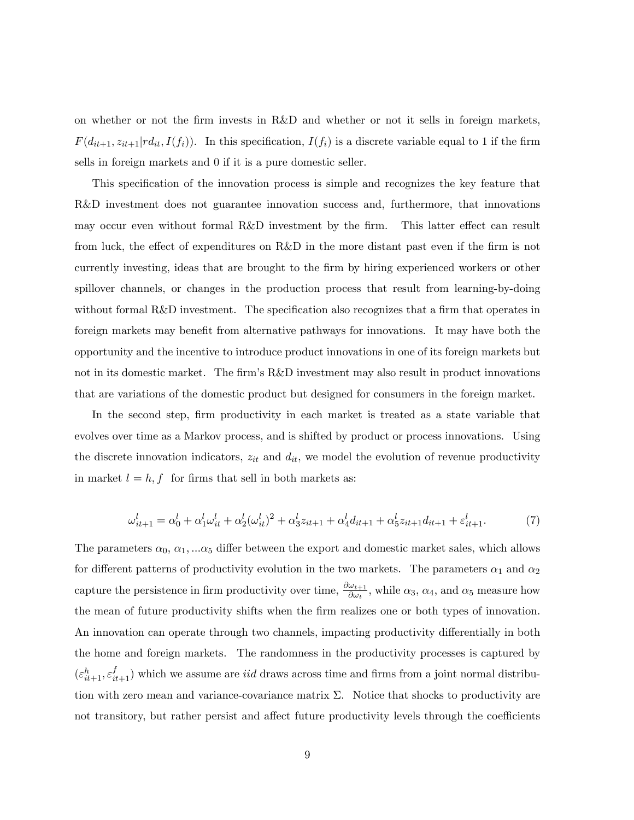on whether or not the Örm invests in R&D and whether or not it sells in foreign markets,  $F(d_{it+1}, z_{it+1}|rd_{it}, I(f_i)).$  In this specification,  $I(f_i)$  is a discrete variable equal to 1 if the firm sells in foreign markets and 0 if it is a pure domestic seller.

This specification of the innovation process is simple and recognizes the key feature that R&D investment does not guarantee innovation success and, furthermore, that innovations may occur even without formal R&D investment by the firm. This latter effect can result from luck, the effect of expenditures on  $R\&D$  in the more distant past even if the firm is not currently investing, ideas that are brought to the firm by hiring experienced workers or other spillover channels, or changes in the production process that result from learning-by-doing without formal R&D investment. The specification also recognizes that a firm that operates in foreign markets may benefit from alternative pathways for innovations. It may have both the opportunity and the incentive to introduce product innovations in one of its foreign markets but not in its domestic market. The firm's R&D investment may also result in product innovations that are variations of the domestic product but designed for consumers in the foreign market.

In the second step, firm productivity in each market is treated as a state variable that evolves over time as a Markov process, and is shifted by product or process innovations. Using the discrete innovation indicators,  $z_{it}$  and  $d_{it}$ , we model the evolution of revenue productivity in market  $l = h, f$  for firms that sell in both markets as:

<span id="page-9-0"></span>
$$
\omega_{it+1}^l = \alpha_0^l + \alpha_1^l \omega_{it}^l + \alpha_2^l (\omega_{it}^l)^2 + \alpha_3^l z_{it+1} + \alpha_4^l d_{it+1} + \alpha_5^l z_{it+1} d_{it+1} + \varepsilon_{it+1}^l. \tag{7}
$$

The parameters  $\alpha_0, \alpha_1, \ldots \alpha_5$  differ between the export and domestic market sales, which allows for different patterns of productivity evolution in the two markets. The parameters  $\alpha_1$  and  $\alpha_2$ capture the persistence in firm productivity over time,  $\frac{\partial \omega_{t+1}}{\partial \omega_t}$ , while  $\alpha_3$ ,  $\alpha_4$ , and  $\alpha_5$  measure how the mean of future productivity shifts when the Örm realizes one or both types of innovation. An innovation can operate through two channels, impacting productivity differentially in both the home and foreign markets. The randomness in the productivity processes is captured by  $(\varepsilon_{it+1}^h, \varepsilon_{it+1}^f)$  which we assume are *iid* draws across time and firms from a joint normal distribution with zero mean and variance-covariance matrix  $\Sigma$ . Notice that shocks to productivity are not transitory, but rather persist and affect future productivity levels through the coefficients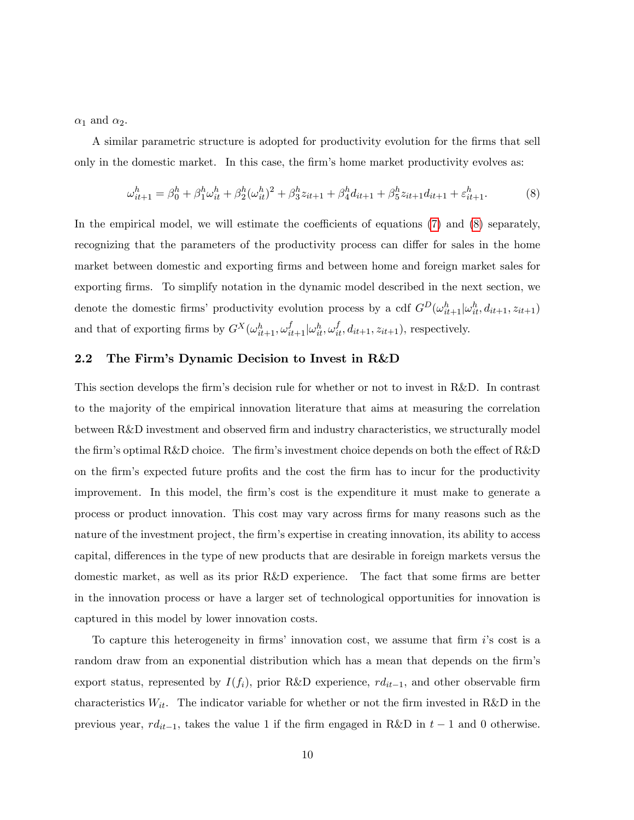$\alpha_1$  and  $\alpha_2$ .

A similar parametric structure is adopted for productivity evolution for the Örms that sell only in the domestic market. In this case, the firm's home market productivity evolves as:

<span id="page-10-0"></span>
$$
\omega_{it+1}^h = \beta_0^h + \beta_1^h \omega_{it}^h + \beta_2^h (\omega_{it}^h)^2 + \beta_3^h z_{it+1} + \beta_4^h d_{it+1} + \beta_5^h z_{it+1} d_{it+1} + \varepsilon_{it+1}^h.
$$
 (8)

In the empirical model, we will estimate the coefficients of equations  $(7)$  and  $(8)$  separately, recognizing that the parameters of the productivity process can differ for sales in the home market between domestic and exporting firms and between home and foreign market sales for exporting firms. To simplify notation in the dynamic model described in the next section, we denote the domestic firms' productivity evolution process by a cdf  $G^D(\omega_{it+1}^h | \omega_{it}^h, d_{it+1}, z_{it+1})$ and that of exporting firms by  $G^X(\omega_{it+1}^h, \omega_{it+1}^f | \omega_{it}^h, \omega_{it}^f, d_{it+1}, z_{it+1}),$  respectively.

### 2.2 The Firm's Dynamic Decision to Invest in R&D

This section develops the firm's decision rule for whether or not to invest in R&D. In contrast to the majority of the empirical innovation literature that aims at measuring the correlation between R&D investment and observed firm and industry characteristics, we structurally model the firm's optimal R&D choice. The firm's investment choice depends on both the effect of R&D on the firm's expected future profits and the cost the firm has to incur for the productivity improvement. In this model, the firm's cost is the expenditure it must make to generate a process or product innovation. This cost may vary across Örms for many reasons such as the nature of the investment project, the firm's expertise in creating innovation, its ability to access capital, differences in the type of new products that are desirable in foreign markets versus the domestic market, as well as its prior R&D experience. The fact that some firms are better in the innovation process or have a larger set of technological opportunities for innovation is captured in this model by lower innovation costs.

To capture this heterogeneity in firms' innovation cost, we assume that firm  $i$ 's cost is a random draw from an exponential distribution which has a mean that depends on the firm's export status, represented by  $I(f_i)$ , prior R&D experience,  $r d_{it-1}$ , and other observable firm characteristics  $W_{it}$ . The indicator variable for whether or not the firm invested in R&D in the previous year,  $rd_{it-1}$ , takes the value 1 if the firm engaged in R&D in  $t - 1$  and 0 otherwise.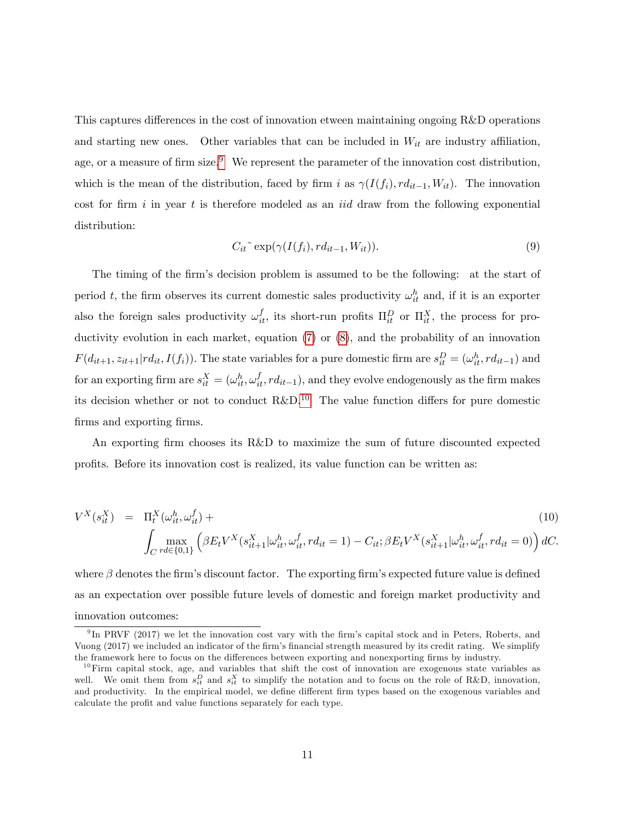This captures differences in the cost of innovation etween maintaining ongoing  $R\&D$  operations and starting new ones. Other variables that can be included in  $W_{it}$  are industry affiliation, age, or a measure of firm size.<sup>[9](#page-11-0)</sup> We represent the parameter of the innovation cost distribution, which is the mean of the distribution, faced by firm i as  $\gamma(I(f_i), r d_{it-1}, W_{it})$ . The innovation cost for firm i in year t is therefore modeled as an *iid* draw from the following exponential distribution:

<span id="page-11-2"></span>
$$
C_{it}^{\sim} \exp(\gamma(I(f_i), r d_{it-1}, W_{it})). \tag{9}
$$

The timing of the firm's decision problem is assumed to be the following: at the start of period t, the firm observes its current domestic sales productivity  $\omega_{it}^h$  and, if it is an exporter also the foreign sales productivity  $\omega_{it}^f$ , its short-run profits  $\Pi_{it}^D$  or  $\Pi_{it}^X$ , the process for pro-ductivity evolution in each market, equation [\(7\)](#page-9-0) or [\(8\)](#page-10-0), and the probability of an innovation  $F(d_{it+1}, z_{it+1}| r d_{it}, I(f_i))$ . The state variables for a pure domestic firm are  $s_{it}^D = (\omega_{it}^h, r d_{it-1})$  and for an exporting firm are  $s_{it}^X = (\omega_{it}^h, \omega_{it}^f, rd_{it-1})$ , and they evolve endogenously as the firm makes its decision whether or not to conduct  $R\&D^{10}$  $R\&D^{10}$  $R\&D^{10}$  The value function differs for pure domestic firms and exporting firms.

An exporting firm chooses its R&D to maximize the sum of future discounted expected profits. Before its innovation cost is realized, its value function can be written as:

<span id="page-11-3"></span>
$$
V^{X}(s_{it}^{X}) = \Pi_{t}^{X}(\omega_{it}^{h}, \omega_{it}^{f}) +
$$
  

$$
\int_{C} \max_{rd \in \{0,1\}} (\beta E_{t} V^{X}(s_{it+1}^{X} | \omega_{it}^{h}, \omega_{it}^{f}, rd_{it} = 1) - C_{it}; \beta E_{t} V^{X}(s_{it+1}^{X} | \omega_{it}^{h}, \omega_{it}^{f}, rd_{it} = 0)) dC.
$$
 (10)

where  $\beta$  denotes the firm's discount factor. The exporting firm's expected future value is defined as an expectation over possible future levels of domestic and foreign market productivity and innovation outcomes:

<span id="page-11-0"></span><sup>&</sup>lt;sup>9</sup>In PRVF (2017) we let the innovation cost vary with the firm's capital stock and in Peters, Roberts, and Vuong (2017) we included an indicator of the firm's financial strength measured by its credit rating. We simplify the framework here to focus on the differences between exporting and nonexporting firms by industry.

<span id="page-11-1"></span> $10$ Firm capital stock, age, and variables that shift the cost of innovation are exogenous state variables as well. We omit them from  $s_{it}^D$  and  $s_{it}^X$  to simplify the notation and to focus on the role of R&D, innovation, and productivity. In the empirical model, we define different firm types based on the exogenous variables and calculate the profit and value functions separately for each type.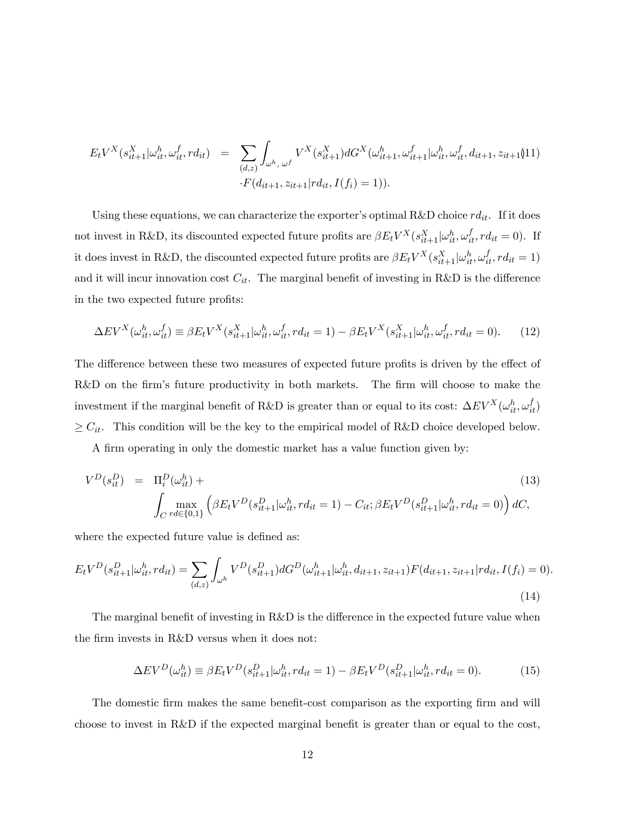$$
E_t V^X(s_{it+1}^X | \omega_{it}^h, \omega_{it}^f, r d_{it}) = \sum_{(d,z)} \int_{\omega^h, \omega^f} V^X(s_{it+1}^X) dG^X(\omega_{it+1}^h, \omega_{it+1}^f | \omega_{it}^h, \omega_{it}^f, d_{it+1}, z_{it+1})
$$
  
 
$$
\cdot F(d_{it+1}, z_{it+1} | r d_{it}, I(f_i) = 1)).
$$

Using these equations, we can characterize the exporter's optimal R&D choice  $rd_{it}$ . If it does not invest in R&D, its discounted expected future profits are  $\beta E_t V^X(s_{it+1}^X | \omega_{it}^h, \omega_{it}^f, r d_{it} = 0)$ . If it does invest in R&D, the discounted expected future profits are  $\beta E_t V^X(s_{it+1}^X | \omega_{it}^h, \omega_{it}^f, rd_{it} = 1)$ and it will incur innovation cost  $C_{it}$ . The marginal benefit of investing in R&D is the difference in the two expected future profits:

<span id="page-12-1"></span>
$$
\Delta EV^X(\omega_{it}^h, \omega_{it}^f) \equiv \beta E_t V^X(s_{it+1}^X | \omega_{it}^h, \omega_{it}^f, r d_{it} = 1) - \beta E_t V^X(s_{it+1}^X | \omega_{it}^h, \omega_{it}^f, r d_{it} = 0). \tag{12}
$$

The difference between these two measures of expected future profits is driven by the effect of R&D on the firm's future productivity in both markets. The firm will choose to make the investment if the marginal benefit of R&D is greater than or equal to its cost:  $\Delta EV^X(\omega_{it}^h, \omega_{it}^f)$  $\geq C_{it}$ . This condition will be the key to the empirical model of R&D choice developed below.

A firm operating in only the domestic market has a value function given by:

<span id="page-12-0"></span>
$$
V^{D}(s_{it}^{D}) = \Pi_{i}^{D}(\omega_{it}^{h}) + \int_{C \, r d \in \{0,1\}} (\beta E_{t} V^{D}(s_{it+1}^{D}|\omega_{it}^{h}, r d_{it} = 1) - C_{it}; \beta E_{t} V^{D}(s_{it+1}^{D}|\omega_{it}^{h}, r d_{it} = 0)) dC,
$$
\n(13)

where the expected future value is defined as:

$$
E_t V^D(s_{it+1}^D | \omega_{it}^h, r d_{it}) = \sum_{(d,z)} \int_{\omega^h} V^D(s_{it+1}^D) dG^D(\omega_{it+1}^h | \omega_{it}^h, d_{it+1}, z_{it+1}) F(d_{it+1}, z_{it+1} | r d_{it}, I(f_i) = 0).
$$
\n(14)

The marginal benefit of investing in  $R\&D$  is the difference in the expected future value when the firm invests in R&D versus when it does not:

<span id="page-12-2"></span>
$$
\Delta EV^D(\omega_{it}^h) \equiv \beta E_t V^D(s_{it+1}^D | \omega_{it}^h, r d_{it} = 1) - \beta E_t V^D(s_{it+1}^D | \omega_{it}^h, r d_{it} = 0). \tag{15}
$$

The domestic firm makes the same benefit-cost comparison as the exporting firm and will choose to invest in R&D if the expected marginal benefit is greater than or equal to the cost,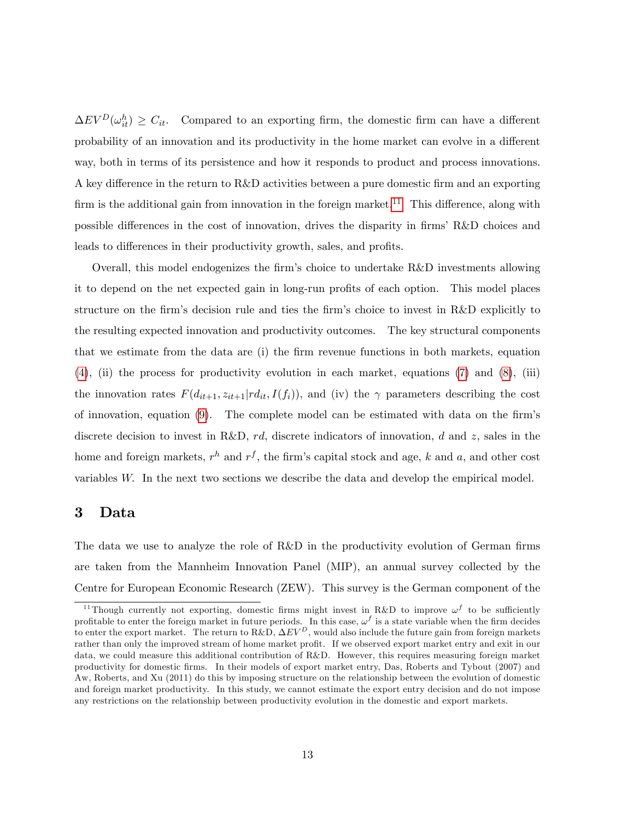$\Delta EV^D(\omega_{it}^h) \geq C_{it}$ . Compared to an exporting firm, the domestic firm can have a different probability of an innovation and its productivity in the home market can evolve in a different way, both in terms of its persistence and how it responds to product and process innovations. A key difference in the return to  $R\&D$  activities between a pure domestic firm and an exporting firm is the additional gain from innovation in the foreign market.<sup>[11](#page-13-0)</sup> This difference, along with possible differences in the cost of innovation, drives the disparity in firms' R&D choices and leads to differences in their productivity growth, sales, and profits.

Overall, this model endogenizes the firm's choice to undertake  $R&D$  investments allowing it to depend on the net expected gain in long-run profits of each option. This model places structure on the firm's decision rule and ties the firm's choice to invest in R&D explicitly to the resulting expected innovation and productivity outcomes. The key structural components that we estimate from the data are (i) the firm revenue functions in both markets, equation  $(4)$ , (ii) the process for productivity evolution in each market, equations  $(7)$  and  $(8)$ , (iii) the innovation rates  $F(d_{it+1}, z_{it+1}|rd_{it}, I(f_i))$ , and (iv) the  $\gamma$  parameters describing the cost of innovation, equation  $(9)$ . The complete model can be estimated with data on the firm's discrete decision to invest in R&D,  $rd$ , discrete indicators of innovation, d and z, sales in the home and foreign markets,  $r^h$  and  $r^f$ , the firm's capital stock and age, k and a, and other cost variables W: In the next two sections we describe the data and develop the empirical model.

## 3 Data

The data we use to analyze the role of  $R\&D$  in the productivity evolution of German firms are taken from the Mannheim Innovation Panel (MIP), an annual survey collected by the Centre for European Economic Research (ZEW). This survey is the German component of the

<span id="page-13-0"></span><sup>&</sup>lt;sup>11</sup>Though currently not exporting, domestic firms might invest in R&D to improve  $\omega^f$  to be sufficiently profitable to enter the foreign market in future periods. In this case,  $\omega^f$  is a state variable when the firm decides to enter the export market. The return to R&D,  $\Delta EV^D$ , would also include the future gain from foreign markets rather than only the improved stream of home market profit. If we observed export market entry and exit in our data, we could measure this additional contribution of R&D. However, this requires measuring foreign market productivity for domestic Örms. In their models of export market entry, Das, Roberts and Tybout (2007) and Aw, Roberts, and Xu (2011) do this by imposing structure on the relationship between the evolution of domestic and foreign market productivity. In this study, we cannot estimate the export entry decision and do not impose any restrictions on the relationship between productivity evolution in the domestic and export markets.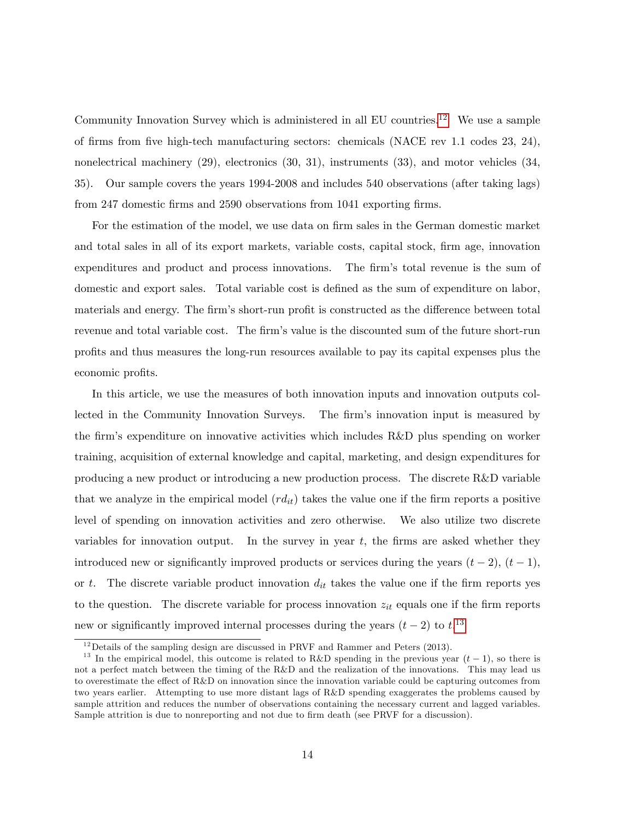Community Innovation Survey which is administered in all EU countries.<sup>[12](#page-14-0)</sup> We use a sample of Örms from Öve high-tech manufacturing sectors: chemicals (NACE rev 1.1 codes 23, 24), nonelectrical machinery (29), electronics (30, 31), instruments (33), and motor vehicles (34, 35). Our sample covers the years 1994-2008 and includes 540 observations (after taking lags) from 247 domestic firms and 2590 observations from 1041 exporting firms.

For the estimation of the model, we use data on firm sales in the German domestic market and total sales in all of its export markets, variable costs, capital stock, firm age, innovation expenditures and product and process innovations. The firm's total revenue is the sum of domestic and export sales. Total variable cost is defined as the sum of expenditure on labor, materials and energy. The firm's short-run profit is constructed as the difference between total revenue and total variable cost. The firm's value is the discounted sum of the future short-run proÖts and thus measures the long-run resources available to pay its capital expenses plus the economic profits.

In this article, we use the measures of both innovation inputs and innovation outputs collected in the Community Innovation Surveys. The firm's innovation input is measured by the firm's expenditure on innovative activities which includes  $R\&D$  plus spending on worker training, acquisition of external knowledge and capital, marketing, and design expenditures for producing a new product or introducing a new production process. The discrete R&D variable that we analyze in the empirical model  $(rd_{it})$  takes the value one if the firm reports a positive level of spending on innovation activities and zero otherwise. We also utilize two discrete variables for innovation output. In the survey in year  $t$ , the firms are asked whether they introduced new or significantly improved products or services during the years  $(t - 2)$ ,  $(t - 1)$ , or t. The discrete variable product innovation  $d_{it}$  takes the value one if the firm reports yes to the question. The discrete variable for process innovation  $z_{it}$  equals one if the firm reports new or significantly improved internal processes during the years  $(t-2)$  to  $t^{13}$  $t^{13}$  $t^{13}$ 

<span id="page-14-1"></span><span id="page-14-0"></span><sup>&</sup>lt;sup>12</sup> Details of the sampling design are discussed in PRVF and Rammer and Peters (2013).

<sup>&</sup>lt;sup>13</sup> In the empirical model, this outcome is related to R&D spending in the previous year  $(t-1)$ , so there is not a perfect match between the timing of the R&D and the realization of the innovations. This may lead us to overestimate the effect of  $R\&D$  on innovation since the innovation variable could be capturing outcomes from two years earlier. Attempting to use more distant lags of R&D spending exaggerates the problems caused by sample attrition and reduces the number of observations containing the necessary current and lagged variables. Sample attrition is due to nonreporting and not due to firm death (see PRVF for a discussion).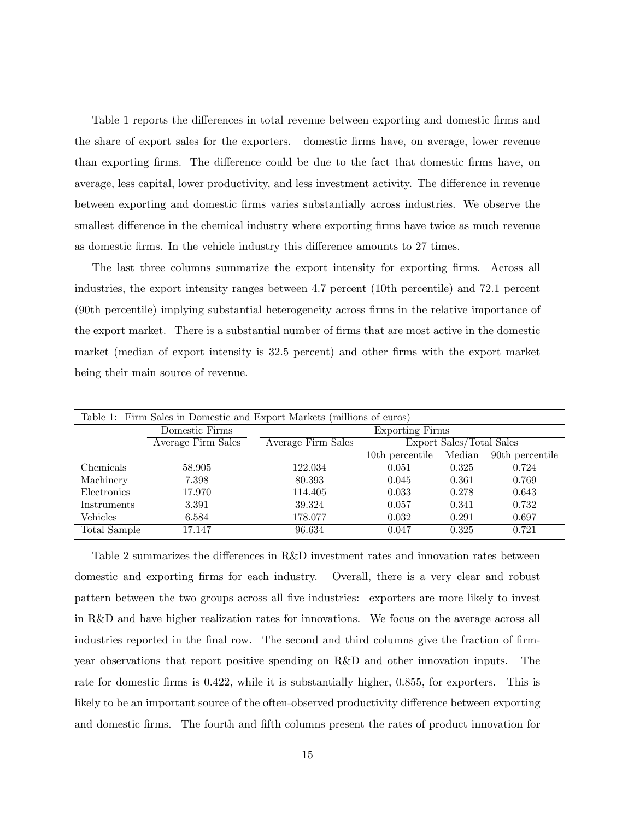Table 1 reports the differences in total revenue between exporting and domestic firms and the share of export sales for the exporters. domestic Örms have, on average, lower revenue than exporting firms. The difference could be due to the fact that domestic firms have, on average, less capital, lower productivity, and less investment activity. The difference in revenue between exporting and domestic Örms varies substantially across industries. We observe the smallest difference in the chemical industry where exporting firms have twice as much revenue as domestic firms. In the vehicle industry this difference amounts to 27 times.

The last three columns summarize the export intensity for exporting firms. Across all industries, the export intensity ranges between 4.7 percent (10th percentile) and 72.1 percent (90th percentile) implying substantial heterogeneity across Örms in the relative importance of the export market. There is a substantial number of firms that are most active in the domestic market (median of export intensity is 32.5 percent) and other firms with the export market being their main source of revenue.

| Table 1: Firm Sales in Domestic and Export Markets (millions of euros) |                                          |                    |                 |                          |                 |  |  |  |
|------------------------------------------------------------------------|------------------------------------------|--------------------|-----------------|--------------------------|-----------------|--|--|--|
|                                                                        | Domestic Firms<br><b>Exporting Firms</b> |                    |                 |                          |                 |  |  |  |
|                                                                        | Average Firm Sales                       | Average Firm Sales |                 | Export Sales/Total Sales |                 |  |  |  |
|                                                                        |                                          |                    | 10th percentile | Median                   | 90th percentile |  |  |  |
| Chemicals                                                              | 58.905                                   | 122.034            | 0.051           | 0.325                    | 0.724           |  |  |  |
| Machinery                                                              | 7.398                                    | 80.393             | 0.045           | 0.361                    | 0.769           |  |  |  |
| Electronics                                                            | 17.970                                   | 114.405            | 0.033           | 0.278                    | 0.643           |  |  |  |
| <b>Instruments</b>                                                     | 3.391                                    | 39.324             | 0.057           | 0.341                    | 0.732           |  |  |  |
| Vehicles                                                               | 6.584                                    | 178.077            | 0.032           | 0.291                    | 0.697           |  |  |  |
| Total Sample                                                           | 17.147                                   | 96.634             | 0.047           | 0.325                    | 0.721           |  |  |  |

Table 2 summarizes the differences in  $R&D$  investment rates and innovation rates between domestic and exporting firms for each industry. Overall, there is a very clear and robust pattern between the two groups across all Öve industries: exporters are more likely to invest in R&D and have higher realization rates for innovations. We focus on the average across all industries reported in the final row. The second and third columns give the fraction of firmyear observations that report positive spending on R&D and other innovation inputs. The rate for domestic firms is 0.422, while it is substantially higher, 0.855, for exporters. This is likely to be an important source of the often-observed productivity difference between exporting and domestic firms. The fourth and fifth columns present the rates of product innovation for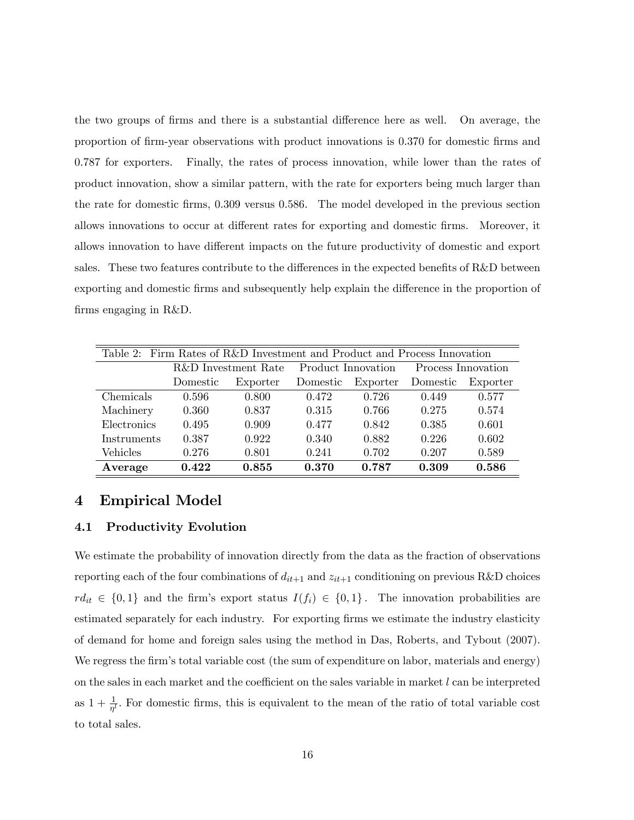the two groups of firms and there is a substantial difference here as well. On average, the proportion of Örm-year observations with product innovations is 0.370 for domestic Örms and 0.787 for exporters. Finally, the rates of process innovation, while lower than the rates of product innovation, show a similar pattern, with the rate for exporters being much larger than the rate for domestic firms, 0.309 versus 0.586. The model developed in the previous section allows innovations to occur at different rates for exporting and domestic firms. Moreover, it allows innovation to have different impacts on the future productivity of domestic and export sales. These two features contribute to the differences in the expected benefits of  $R\&D$  between exporting and domestic firms and subsequently help explain the difference in the proportion of firms engaging in R&D.

| Table 2: Firm Rates of R&D Investment and Product and Process Innovation |          |                     |                    |          |                    |          |  |  |  |
|--------------------------------------------------------------------------|----------|---------------------|--------------------|----------|--------------------|----------|--|--|--|
|                                                                          |          | R&D Investment Rate | Product Innovation |          | Process Innovation |          |  |  |  |
|                                                                          | Domestic | Exporter            | Domestic           | Exporter | Domestic           | Exporter |  |  |  |
| Chemicals                                                                | 0.596    | 0.800               | 0.472              | 0.726    | 0.449              | 0.577    |  |  |  |
| Machinery                                                                | 0.360    | 0.837               | 0.315              | 0.766    | 0.275              | 0.574    |  |  |  |
| Electronics                                                              | 0.495    | 0.909               | 0.477              | 0.842    | 0.385              | 0.601    |  |  |  |
| Instruments                                                              | 0.387    | 0.922               | 0.340              | 0.882    | 0.226              | 0.602    |  |  |  |
| Vehicles                                                                 | 0.276    | 0.801               | 0.241              | 0.702    | 0.207              | 0.589    |  |  |  |
| Average                                                                  | 0.422    | 0.855               | 0.370              | 0.787    | 0.309              | 0.586    |  |  |  |

## 4 Empirical Model

## 4.1 Productivity Evolution

We estimate the probability of innovation directly from the data as the fraction of observations reporting each of the four combinations of  $d_{it+1}$  and  $z_{it+1}$  conditioning on previous R&D choices  $rd_{it} \in \{0,1\}$  and the firm's export status  $I(f_i) \in \{0,1\}$ . The innovation probabilities are estimated separately for each industry. For exporting firms we estimate the industry elasticity of demand for home and foreign sales using the method in Das, Roberts, and Tybout (2007). We regress the firm's total variable cost (the sum of expenditure on labor, materials and energy) on the sales in each market and the coefficient on the sales variable in market  $l$  can be interpreted as  $1 + \frac{1}{\eta'}$ . For domestic firms, this is equivalent to the mean of the ratio of total variable cost to total sales.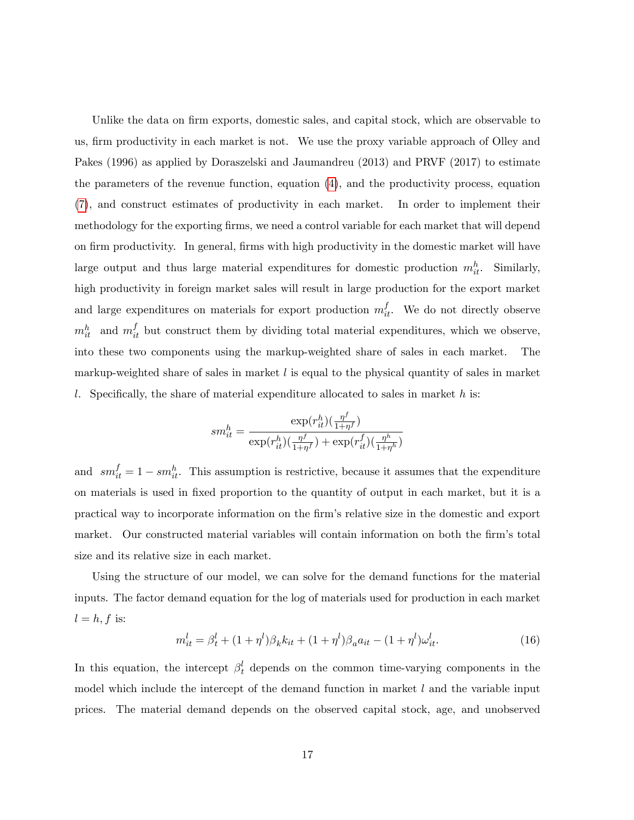Unlike the data on firm exports, domestic sales, and capital stock, which are observable to us, firm productivity in each market is not. We use the proxy variable approach of Olley and Pakes (1996) as applied by Doraszelski and Jaumandreu (2013) and PRVF (2017) to estimate the parameters of the revenue function, equation [\(4\)](#page-7-0), and the productivity process, equation [\(7\)](#page-9-0), and construct estimates of productivity in each market. In order to implement their methodology for the exporting firms, we need a control variable for each market that will depend on firm productivity. In general, firms with high productivity in the domestic market will have large output and thus large material expenditures for domestic production  $m_{it}^h$ . Similarly, high productivity in foreign market sales will result in large production for the export market and large expenditures on materials for export production  $m_{it}^f$ . We do not directly observe  $m_{it}^h$  and  $m_{it}^f$  but construct them by dividing total material expenditures, which we observe, into these two components using the markup-weighted share of sales in each market. The markup-weighted share of sales in market  $l$  is equal to the physical quantity of sales in market l. Specifically, the share of material expenditure allocated to sales in market  $h$  is:

$$
sm_{it}^h = \frac{\exp(r_{it}^h)(\frac{\eta^f}{1+\eta^f})}{\exp(r_{it}^h)(\frac{\eta^f}{1+\eta^f}) + \exp(r_{it}^f)(\frac{\eta^h}{1+\eta^h})}
$$

and  $sm_{it}^f = 1 - sm_{it}^h$ . This assumption is restrictive, because it assumes that the expenditure on materials is used in Öxed proportion to the quantity of output in each market, but it is a practical way to incorporate information on the Örmís relative size in the domestic and export market. Our constructed material variables will contain information on both the firm's total size and its relative size in each market.

Using the structure of our model, we can solve for the demand functions for the material inputs. The factor demand equation for the log of materials used for production in each market  $l = h, f$  is:

<span id="page-17-0"></span>
$$
m_{it}^l = \beta_t^l + (1 + \eta^l)\beta_k k_{it} + (1 + \eta^l)\beta_a a_{it} - (1 + \eta^l)\omega_{it}^l. \tag{16}
$$

In this equation, the intercept  $\beta_t^l$  depends on the common time-varying components in the model which include the intercept of the demand function in market  $l$  and the variable input prices. The material demand depends on the observed capital stock, age, and unobserved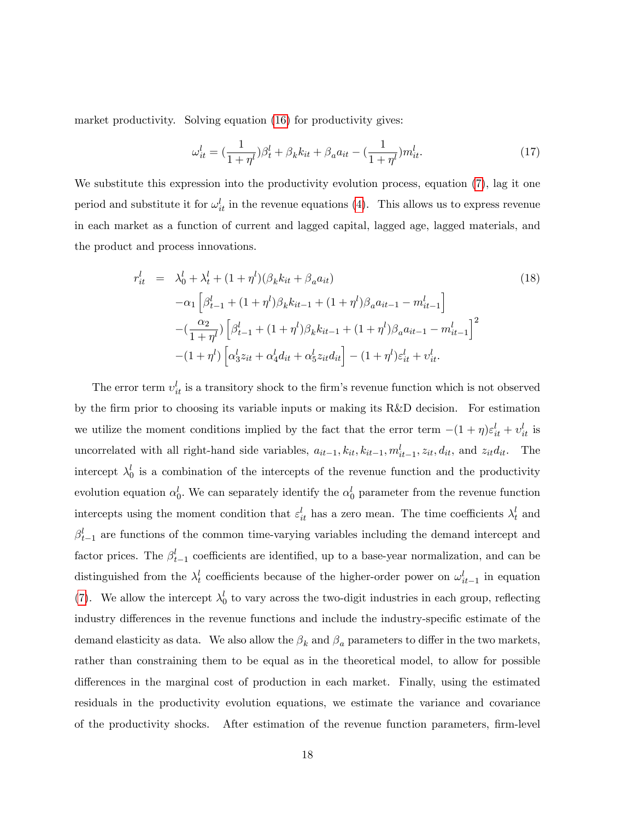market productivity. Solving equation [\(16\)](#page-17-0) for productivity gives:

<span id="page-18-0"></span>
$$
\omega_{it}^{l} = \left(\frac{1}{1+\eta^{l}}\right)\beta_{t}^{l} + \beta_{k}k_{it} + \beta_{a}a_{it} - \left(\frac{1}{1+\eta^{l}}\right)m_{it}^{l}.
$$
\n(17)

We substitute this expression into the productivity evolution process, equation  $(7)$ , lag it one period and substitute it for  $\omega_{it}^l$  in the revenue equations [\(4\)](#page-7-0). This allows us to express revenue in each market as a function of current and lagged capital, lagged age, lagged materials, and the product and process innovations.

<span id="page-18-1"></span>
$$
r_{it}^{l} = \lambda_{0}^{l} + \lambda_{t}^{l} + (1 + \eta^{l})(\beta_{k}k_{it} + \beta_{a}a_{it})
$$
\n
$$
-\alpha_{1} \left[ \beta_{t-1}^{l} + (1 + \eta^{l})\beta_{k}k_{it-1} + (1 + \eta^{l})\beta_{a}a_{it-1} - m_{it-1}^{l} \right]
$$
\n
$$
-(\frac{\alpha_{2}}{1 + \eta^{l}}) \left[ \beta_{t-1}^{l} + (1 + \eta^{l})\beta_{k}k_{it-1} + (1 + \eta^{l})\beta_{a}a_{it-1} - m_{it-1}^{l} \right]^{2}
$$
\n
$$
-(1 + \eta^{l}) \left[ \alpha_{3}^{l} z_{it} + \alpha_{4}^{l} d_{it} + \alpha_{5}^{l} z_{it} d_{it} \right] - (1 + \eta^{l}) \varepsilon_{it}^{l} + v_{it}^{l}.
$$
\n(18)

The error term  $v_{it}^l$  is a transitory shock to the firm's revenue function which is not observed by the Örm prior to choosing its variable inputs or making its R&D decision. For estimation we utilize the moment conditions implied by the fact that the error term  $-(1 + \eta)\varepsilon_{it}^l + v_{it}^l$  is uncorrelated with all right-hand side variables,  $a_{it-1}, k_{it}, k_{it-1}, m_{it-1}^l, z_{it}, d_{it}$ , and  $z_{it}d_{it}$ . The intercept  $\lambda_0^l$  is a combination of the intercepts of the revenue function and the productivity evolution equation  $\alpha_0^l$ . We can separately identify the  $\alpha_0^l$  parameter from the revenue function intercepts using the moment condition that  $\varepsilon_{it}^l$  has a zero mean. The time coefficients  $\lambda_t^l$  and  $\beta_{t-1}^l$  are functions of the common time-varying variables including the demand intercept and factor prices. The  $\beta_{t-1}^l$  coefficients are identified, up to a base-year normalization, and can be distinguished from the  $\lambda_t^l$  coefficients because of the higher-order power on  $\omega_{it-1}^l$  in equation [\(7\)](#page-9-0). We allow the intercept  $\lambda_0^l$  to vary across the two-digit industries in each group, reflecting industry differences in the revenue functions and include the industry-specific estimate of the demand elasticity as data. We also allow the  $\beta_k$  and  $\beta_a$  parameters to differ in the two markets, rather than constraining them to be equal as in the theoretical model, to allow for possible differences in the marginal cost of production in each market. Finally, using the estimated residuals in the productivity evolution equations, we estimate the variance and covariance of the productivity shocks. After estimation of the revenue function parameters, Örm-level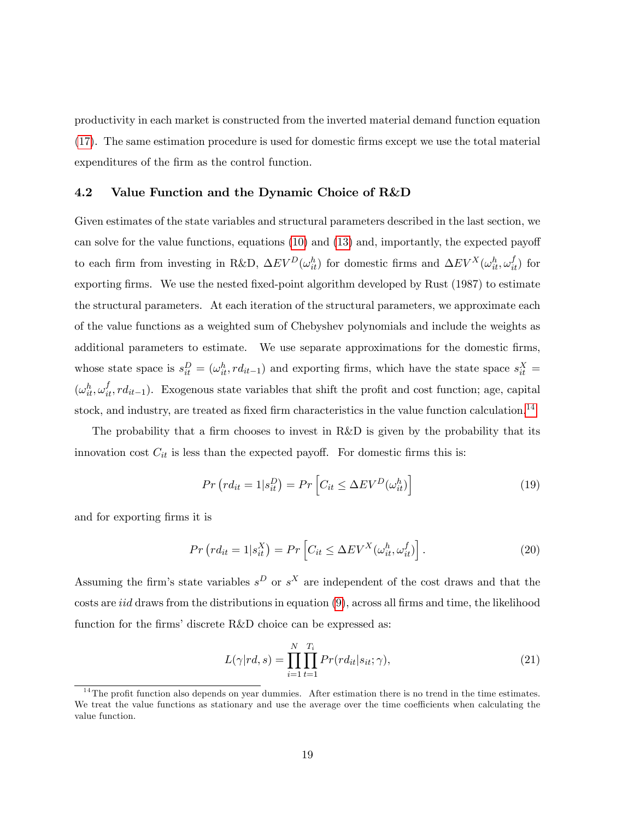productivity in each market is constructed from the inverted material demand function equation [\(17\)](#page-18-0). The same estimation procedure is used for domestic Örms except we use the total material expenditures of the firm as the control function.

#### 4.2 Value Function and the Dynamic Choice of R&D

Given estimates of the state variables and structural parameters described in the last section, we can solve for the value functions, equations  $(10)$  and  $(13)$  and, importantly, the expected payoff to each firm from investing in R&D,  $\Delta EV^D(\omega_{it}^h)$  for domestic firms and  $\Delta EV^X(\omega_{it}^h, \omega_{it}^f)$  for exporting firms. We use the nested fixed-point algorithm developed by Rust (1987) to estimate the structural parameters. At each iteration of the structural parameters, we approximate each of the value functions as a weighted sum of Chebyshev polynomials and include the weights as additional parameters to estimate. We use separate approximations for the domestic firms, whose state space is  $s_{it}^D = (\omega_{it}^h, rd_{it-1})$  and exporting firms, which have the state space  $s_{it}^X =$  $(\omega_{it}^h, \omega_{it}^f, rd_{it-1})$ . Exogenous state variables that shift the profit and cost function; age, capital stock, and industry, are treated as fixed firm characteristics in the value function calculation.<sup>[14](#page-19-0)</sup>

The probability that a firm chooses to invest in  $R\&D$  is given by the probability that its innovation cost  $C_{it}$  is less than the expected payoff. For domestic firms this is:

<span id="page-19-2"></span>
$$
Pr\left(r d_{it} = 1 | s_{it}^D\right) = Pr\left[C_{it} \le \Delta E V^D(\omega_{it}^h)\right]
$$
\n(19)

and for exporting firms it is

<span id="page-19-3"></span>
$$
Pr\left(r d_{it} = 1 | s_{it}^X\right) = Pr\left[C_{it} \le \Delta EV^X(\omega_{it}^h, \omega_{it}^f)\right].\tag{20}
$$

Assuming the firm's state variables  $s^D$  or  $s^X$  are independent of the cost draws and that the costs are *iid* draws from the distributions in equation  $(9)$ , across all firms and time, the likelihood function for the firms' discrete R&D choice can be expressed as:

<span id="page-19-1"></span>
$$
L(\gamma | rd, s) = \prod_{i=1}^{N} \prod_{t=1}^{T_i} Pr(r d_{it} | s_{it}; \gamma), \qquad (21)
$$

<span id="page-19-0"></span> $14$ The profit function also depends on year dummies. After estimation there is no trend in the time estimates. We treat the value functions as stationary and use the average over the time coefficients when calculating the value function.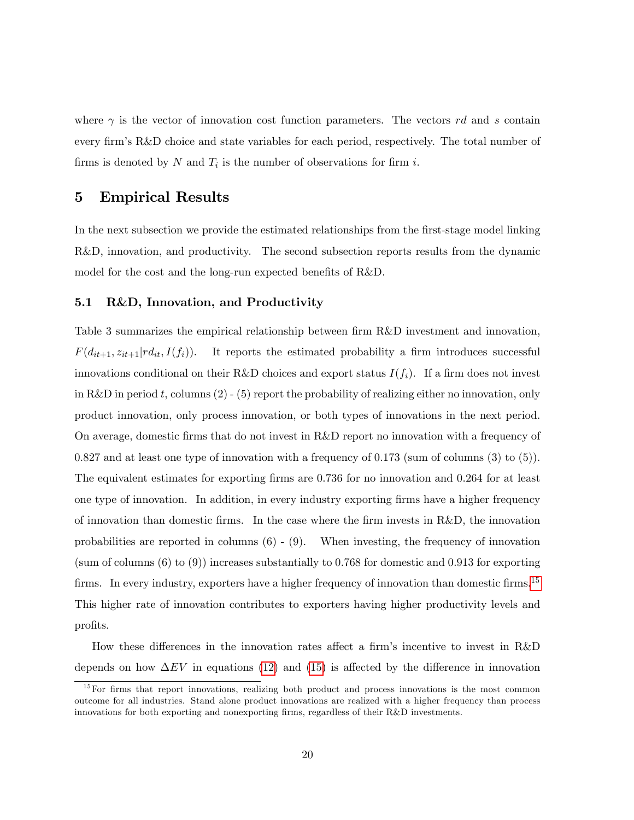where  $\gamma$  is the vector of innovation cost function parameters. The vectors rd and s contain every firm's R&D choice and state variables for each period, respectively. The total number of firms is denoted by N and  $T_i$  is the number of observations for firm i.

## 5 Empirical Results

In the next subsection we provide the estimated relationships from the first-stage model linking R&D, innovation, and productivity. The second subsection reports results from the dynamic model for the cost and the long-run expected benefits of  $R&D$ .

#### 5.1 R&D, Innovation, and Productivity

Table 3 summarizes the empirical relationship between firm R&D investment and innovation,  $F(d_{it+1}, z_{it+1}|rd_{it}, I(f_i)).$  It reports the estimated probability a firm introduces successful innovations conditional on their R&D choices and export status  $I(f_i)$ . If a firm does not invest in R&D in period t, columns  $(2)$  - (5) report the probability of realizing either no innovation, only product innovation, only process innovation, or both types of innovations in the next period. On average, domestic Örms that do not invest in R&D report no innovation with a frequency of 0.827 and at least one type of innovation with a frequency of 0.173 (sum of columns (3) to (5)). The equivalent estimates for exporting firms are 0.736 for no innovation and 0.264 for at least one type of innovation. In addition, in every industry exporting Örms have a higher frequency of innovation than domestic Örms. In the case where the Örm invests in R&D, the innovation probabilities are reported in columns  $(6)$  -  $(9)$ . When investing, the frequency of innovation (sum of columns (6) to (9)) increases substantially to 0.768 for domestic and 0.913 for exporting firms. In every industry, exporters have a higher frequency of innovation than domestic firms.<sup>[15](#page-20-0)</sup> This higher rate of innovation contributes to exporters having higher productivity levels and profits.

How these differences in the innovation rates affect a firm's incentive to invest in  $R\&D$ depends on how  $\Delta EV$  in equations [\(12\)](#page-12-1) and [\(15\)](#page-12-2) is affected by the difference in innovation

<span id="page-20-0"></span><sup>&</sup>lt;sup>15</sup>For firms that report innovations, realizing both product and process innovations is the most common outcome for all industries. Stand alone product innovations are realized with a higher frequency than process innovations for both exporting and nonexporting firms, regardless of their R&D investments.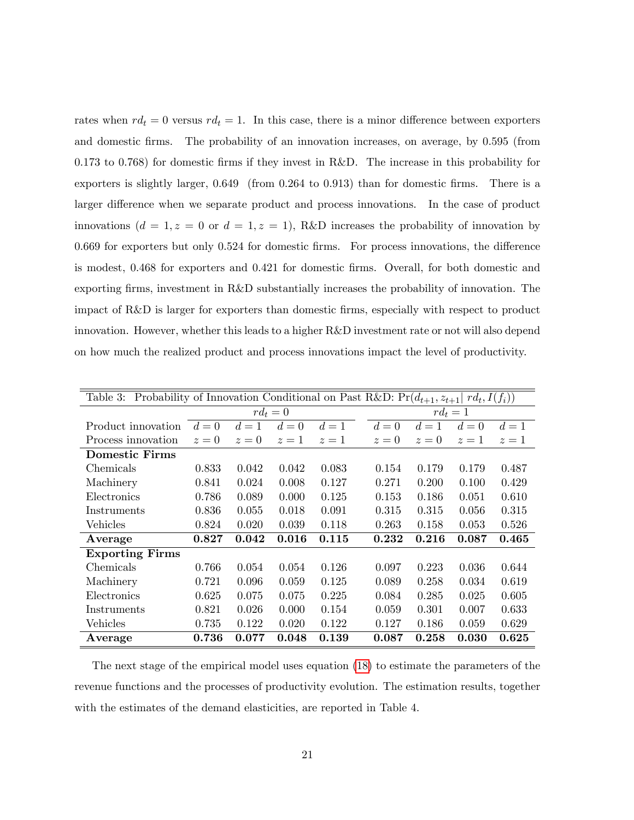rates when  $rd_t = 0$  versus  $rd_t = 1$ . In this case, there is a minor difference between exporters and domestic firms. The probability of an innovation increases, on average, by 0.595 (from 0.173 to 0.768) for domestic Örms if they invest in R&D. The increase in this probability for exporters is slightly larger,  $0.649$  (from  $0.264$  to  $0.913$ ) than for domestic firms. There is a larger difference when we separate product and process innovations. In the case of product innovations  $(d = 1, z = 0 \text{ or } d = 1, z = 1)$ , R&D increases the probability of innovation by  $0.669$  for exporters but only  $0.524$  for domestic firms. For process innovations, the difference is modest, 0.468 for exporters and 0.421 for domestic firms. Overall, for both domestic and exporting firms, investment in R&D substantially increases the probability of innovation. The impact of R&D is larger for exporters than domestic firms, especially with respect to product innovation. However, whether this leads to a higher R&D investment rate or not will also depend on how much the realized product and process innovations impact the level of productivity.

| Probability of Innovation Conditional on Past R&D: $Pr(d_{t+1}, z_{t+1}   rd_t, I(f_i))$<br>Table 3: |            |       |       |       |            |       |       |       |
|------------------------------------------------------------------------------------------------------|------------|-------|-------|-------|------------|-------|-------|-------|
|                                                                                                      | $rd_t = 0$ |       |       |       | $rd_t = 1$ |       |       |       |
| Product innovation                                                                                   | $d=0$      | $d=1$ | $d=0$ | $d=1$ | $d=0$      | $d=1$ | $d=0$ | $d=1$ |
| Process innovation                                                                                   | $z=0$      | $z=0$ | $z=1$ | $z=1$ | $z=0$      | $z=0$ | $z=1$ | $z=1$ |
| <b>Domestic Firms</b>                                                                                |            |       |       |       |            |       |       |       |
| Chemicals                                                                                            | 0.833      | 0.042 | 0.042 | 0.083 | 0.154      | 0.179 | 0.179 | 0.487 |
| Machinery                                                                                            | 0.841      | 0.024 | 0.008 | 0.127 | 0.271      | 0.200 | 0.100 | 0.429 |
| Electronics                                                                                          | 0.786      | 0.089 | 0.000 | 0.125 | 0.153      | 0.186 | 0.051 | 0.610 |
| Instruments                                                                                          | 0.836      | 0.055 | 0.018 | 0.091 | 0.315      | 0.315 | 0.056 | 0.315 |
| Vehicles                                                                                             | 0.824      | 0.020 | 0.039 | 0.118 | 0.263      | 0.158 | 0.053 | 0.526 |
| Average                                                                                              | 0.827      | 0.042 | 0.016 | 0.115 | 0.232      | 0.216 | 0.087 | 0.465 |
| <b>Exporting Firms</b>                                                                               |            |       |       |       |            |       |       |       |
| Chemicals                                                                                            | 0.766      | 0.054 | 0.054 | 0.126 | 0.097      | 0.223 | 0.036 | 0.644 |
| Machinery                                                                                            | 0.721      | 0.096 | 0.059 | 0.125 | 0.089      | 0.258 | 0.034 | 0.619 |
| Electronics                                                                                          | 0.625      | 0.075 | 0.075 | 0.225 | 0.084      | 0.285 | 0.025 | 0.605 |
| Instruments                                                                                          | 0.821      | 0.026 | 0.000 | 0.154 | 0.059      | 0.301 | 0.007 | 0.633 |
| Vehicles                                                                                             | 0.735      | 0.122 | 0.020 | 0.122 | 0.127      | 0.186 | 0.059 | 0.629 |
| Average                                                                                              | 0.736      | 0.077 | 0.048 | 0.139 | 0.087      | 0.258 | 0.030 | 0.625 |

The next stage of the empirical model uses equation [\(18\)](#page-18-1) to estimate the parameters of the revenue functions and the processes of productivity evolution. The estimation results, together with the estimates of the demand elasticities, are reported in Table 4.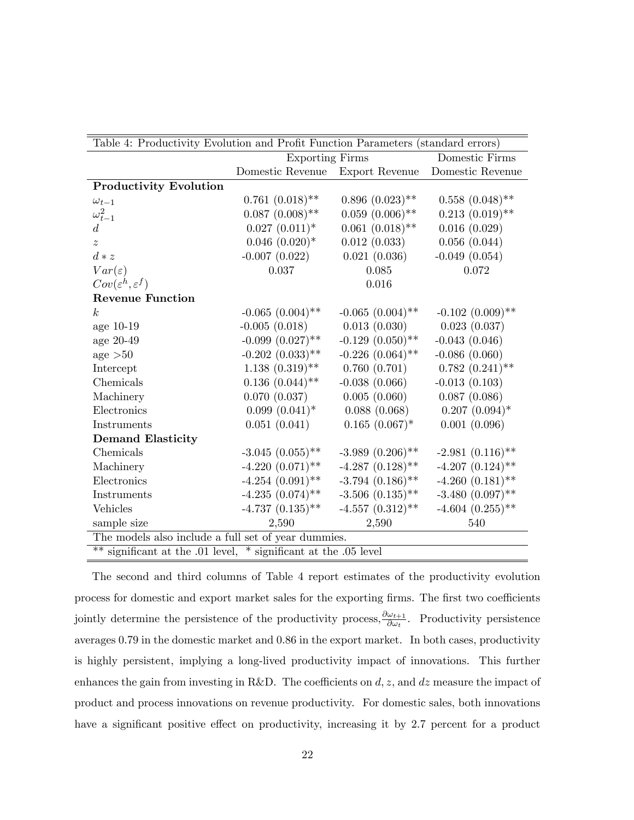| Table 4: Productivity Evolution and Profit Function Parameters (standard errors) |                                 |                       |                       |  |  |  |
|----------------------------------------------------------------------------------|---------------------------------|-----------------------|-----------------------|--|--|--|
|                                                                                  | <b>Exporting Firms</b>          |                       | Domestic Firms        |  |  |  |
|                                                                                  | Domestic Revenue Export Revenue |                       | Domestic Revenue      |  |  |  |
| <b>Productivity Evolution</b>                                                    |                                 |                       |                       |  |  |  |
| $\omega_{t-1}$                                                                   | $0.761~(0.018)$ **              | $0.896(0.023)$ **     | $0.558~(0.048)$ **    |  |  |  |
| $\omega_{t-1}^2$                                                                 | $0.087~(0.008)$ **              | $0.059(0.006)$ **     | $0.213(0.019)$ **     |  |  |  |
| $d_{\cdot}$                                                                      | $0.027~(0.011)*$                | $0.061~(0.018)$ **    | 0.016(0.029)          |  |  |  |
| $\overline{z}$                                                                   | $0.046~(0.020)*$                | 0.012(0.033)          | 0.056(0.044)          |  |  |  |
| $d * z$                                                                          | $-0.007(0.022)$                 | 0.021(0.036)          | $-0.049(0.054)$       |  |  |  |
| $Var(\varepsilon)$                                                               | 0.037                           | 0.085                 | 0.072                 |  |  |  |
| $Cov(\varepsilon^h, \varepsilon^f)$                                              |                                 | 0.016                 |                       |  |  |  |
| <b>Revenue Function</b>                                                          |                                 |                       |                       |  |  |  |
| k <sub>i</sub>                                                                   | $-0.065$ $(0.004)$ **           | $-0.065$ $(0.004)$ ** | $-0.102$ $(0.009)$ ** |  |  |  |
| age 10-19                                                                        | $-0.005(0.018)$                 | 0.013(0.030)          | 0.023(0.037)          |  |  |  |
| age 20-49                                                                        | $-0.099$ $(0.027)$ **           | $-0.129$ $(0.050)$ ** | $-0.043(0.046)$       |  |  |  |
| age > 50                                                                         | $-0.202$ $(0.033)$ **           | $-0.226(0.064)$ **    | $-0.086(0.060)$       |  |  |  |
| Intercept                                                                        | $1.138(0.319)$ **               | 0.760(0.701)          | $0.782(0.241)$ **     |  |  |  |
| Chemicals                                                                        | $0.136$ $(0.044)$ **            | $-0.038(0.066)$       | $-0.013(0.103)$       |  |  |  |
| Machinery                                                                        | 0.070(0.037)                    | 0.005(0.060)          | 0.087(0.086)          |  |  |  |
| Electronics                                                                      | $0.099(0.041)^*$                | 0.088(0.068)          | $0.207~(0.094)*$      |  |  |  |
| Instruments                                                                      | 0.051(0.041)                    | $0.165~(0.067)$ *     | 0.001(0.096)          |  |  |  |
| <b>Demand Elasticity</b>                                                         |                                 |                       |                       |  |  |  |
| Chemicals                                                                        | $-3.045$ $(0.055)$ **           | $-3.989(0.206)$ **    | $-2.981(0.116)$ **    |  |  |  |
| Machinery                                                                        | $-4.220(0.071)$ **              | $-4.287$ $(0.128)$ ** | $-4.207$ $(0.124)$ ** |  |  |  |
| Electronics                                                                      | $-4.254(0.091)$ **              | $-3.794$ $(0.186)$ ** | $-4.260(0.181)$ **    |  |  |  |
| Instruments                                                                      | $-4.235(0.074)$ **              | $-3.506$ $(0.135)$ ** | $-3.480(0.097)$ **    |  |  |  |
| Vehicles                                                                         | $-4.737(0.135)$ **              | $-4.557$ $(0.312)$ ** | $-4.604$ $(0.255)$ ** |  |  |  |
| sample size                                                                      | 2,590                           | 2,590                 | 540                   |  |  |  |
| The models also include a full set of year dummies.                              |                                 |                       |                       |  |  |  |
| ** significant at the .01 level, * significant at the .05 level                  |                                 |                       |                       |  |  |  |

The second and third columns of Table 4 report estimates of the productivity evolution process for domestic and export market sales for the exporting firms. The first two coefficients jointly determine the persistence of the productivity process,  $\frac{\partial \omega_{t+1}}{\partial \omega_t}$ . Productivity persistence averages 0.79 in the domestic market and 0.86 in the export market. In both cases, productivity is highly persistent, implying a long-lived productivity impact of innovations. This further enhances the gain from investing in R&D. The coefficients on  $d, z$ , and  $dz$  measure the impact of product and process innovations on revenue productivity. For domestic sales, both innovations have a significant positive effect on productivity, increasing it by 2.7 percent for a product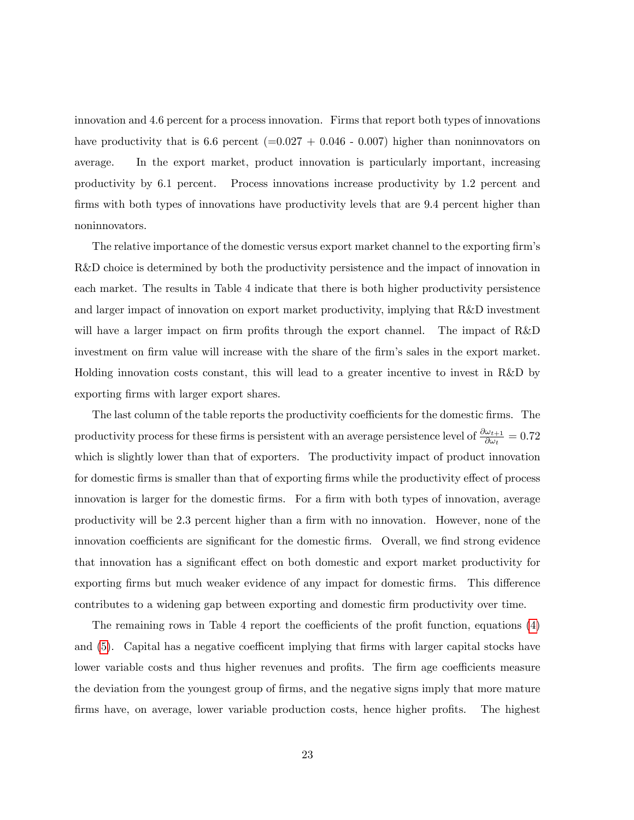innovation and 4.6 percent for a process innovation. Firms that report both types of innovations have productivity that is 6.6 percent  $(=0.027 + 0.046 - 0.007)$  higher than noninnovators on average. In the export market, product innovation is particularly important, increasing productivity by 6.1 percent. Process innovations increase productivity by 1.2 percent and firms with both types of innovations have productivity levels that are 9.4 percent higher than noninnovators.

The relative importance of the domestic versus export market channel to the exporting firm's R&D choice is determined by both the productivity persistence and the impact of innovation in each market. The results in Table 4 indicate that there is both higher productivity persistence and larger impact of innovation on export market productivity, implying that R&D investment will have a larger impact on firm profits through the export channel. The impact of  $R&D$ investment on firm value will increase with the share of the firm's sales in the export market. Holding innovation costs constant, this will lead to a greater incentive to invest in R&D by exporting firms with larger export shares.

The last column of the table reports the productivity coefficients for the domestic firms. The productivity process for these firms is persistent with an average persistence level of  $\frac{\partial \omega_{t+1}}{\partial \omega_t} = 0.72$ which is slightly lower than that of exporters. The productivity impact of product innovation for domestic firms is smaller than that of exporting firms while the productivity effect of process innovation is larger for the domestic firms. For a firm with both types of innovation, average productivity will be 2.3 percent higher than a firm with no innovation. However, none of the innovation coefficients are significant for the domestic firms. Overall, we find strong evidence that innovation has a significant effect on both domestic and export market productivity for exporting firms but much weaker evidence of any impact for domestic firms. This difference contributes to a widening gap between exporting and domestic Örm productivity over time.

The remaining rows in Table 4 report the coefficients of the profit function, equations  $(4)$ and  $(5)$ . Capital has a negative coefficent implying that firms with larger capital stocks have lower variable costs and thus higher revenues and profits. The firm age coefficients measure the deviation from the youngest group of firms, and the negative signs imply that more mature firms have, on average, lower variable production costs, hence higher profits. The highest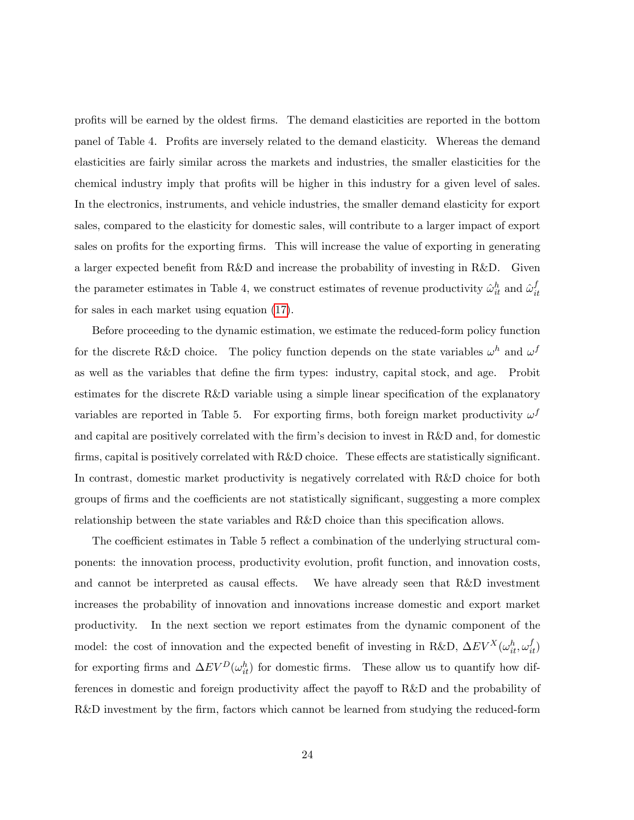profits will be earned by the oldest firms. The demand elasticities are reported in the bottom panel of Table 4. Profits are inversely related to the demand elasticity. Whereas the demand elasticities are fairly similar across the markets and industries, the smaller elasticities for the chemical industry imply that profits will be higher in this industry for a given level of sales. In the electronics, instruments, and vehicle industries, the smaller demand elasticity for export sales, compared to the elasticity for domestic sales, will contribute to a larger impact of export sales on profits for the exporting firms. This will increase the value of exporting in generating a larger expected benefit from R&D and increase the probability of investing in R&D. Given the parameter estimates in Table 4, we construct estimates of revenue productivity  $\hat{\omega}_{it}^h$  and  $\hat{\omega}_{it}^f$ it for sales in each market using equation [\(17\)](#page-18-0).

Before proceeding to the dynamic estimation, we estimate the reduced-form policy function for the discrete R&D choice. The policy function depends on the state variables  $\omega^h$  and  $\omega^f$ as well as the variables that define the firm types: industry, capital stock, and age. Probit estimates for the discrete  $R&D$  variable using a simple linear specification of the explanatory variables are reported in Table 5. For exporting firms, both foreign market productivity  $\omega^f$ and capital are positively correlated with the firm's decision to invest in  $R\&D$  and, for domestic firms, capital is positively correlated with  $R&D$  choice. These effects are statistically significant. In contrast, domestic market productivity is negatively correlated with R&D choice for both groups of firms and the coefficients are not statistically significant, suggesting a more complex relationship between the state variables and  $R\&D$  choice than this specification allows.

The coefficient estimates in Table 5 reflect a combination of the underlying structural components: the innovation process, productivity evolution, profit function, and innovation costs, and cannot be interpreted as causal effects. We have already seen that R&D investment increases the probability of innovation and innovations increase domestic and export market productivity. In the next section we report estimates from the dynamic component of the model: the cost of innovation and the expected benefit of investing in R&D,  $\Delta EV^X(\omega_{it}^h, \omega_{it}^f)$ for exporting firms and  $\Delta EV^D(\omega_{it}^h)$  for domestic firms. These allow us to quantify how differences in domestic and foreign productivity affect the payoff to  $R&D$  and the probability of R&D investment by the firm, factors which cannot be learned from studying the reduced-form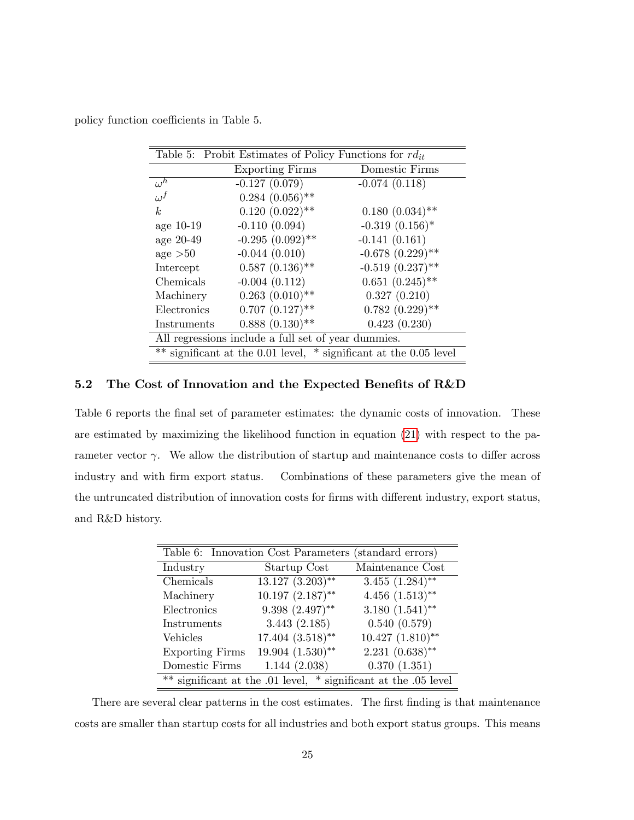policy function coefficients in Table 5.

| Table 5: Probit Estimates of Policy Functions for $rd_{it}$ |                        |                                                                   |  |  |  |  |  |
|-------------------------------------------------------------|------------------------|-------------------------------------------------------------------|--|--|--|--|--|
|                                                             | <b>Exporting Firms</b> | Domestic Firms                                                    |  |  |  |  |  |
| $\omega^h$                                                  | $-0.127(0.079)$        | $-0.074(0.118)$                                                   |  |  |  |  |  |
| $\omega^f$                                                  | $0.284~(0.056)$ **     |                                                                   |  |  |  |  |  |
| k <sub>i</sub>                                              | $0.120(0.022)$ **      | $0.180~(0.034)$ **                                                |  |  |  |  |  |
| age 10-19                                                   | $-0.110(0.094)$        | $-0.319(0.156)$ *                                                 |  |  |  |  |  |
| age 20-49                                                   | $-0.295(0.092)$ **     | $-0.141(0.161)$                                                   |  |  |  |  |  |
| $\text{age} > 50$                                           | $-0.044(0.010)$        | $-0.678~(0.229)$ **                                               |  |  |  |  |  |
| Intercept                                                   | $0.587(0.136)$ **      | $-0.519(0.237)$ **                                                |  |  |  |  |  |
| Chemicals                                                   | $-0.004(0.112)$        | $0.651~(0.245)$ **                                                |  |  |  |  |  |
| Machinery                                                   | $0.263$ $(0.010)$ **   | 0.327(0.210)                                                      |  |  |  |  |  |
| Electronics                                                 | $0.707~(0.127)$ **     | $0.782~(0.229)$ **                                                |  |  |  |  |  |
| Instruments                                                 | $0.888(0.130)$ **      | 0.423(0.230)                                                      |  |  |  |  |  |
| All regressions include a full set of year dummies.         |                        |                                                                   |  |  |  |  |  |
|                                                             |                        | ** significant at the 0.01 level, * significant at the 0.05 level |  |  |  |  |  |

### 5.2 The Cost of Innovation and the Expected Benefits of  $R&D$

Table 6 reports the final set of parameter estimates: the dynamic costs of innovation. These are estimated by maximizing the likelihood function in equation [\(21\)](#page-19-1) with respect to the parameter vector  $\gamma$ . We allow the distribution of startup and maintenance costs to differ across industry and with firm export status. Combinations of these parameters give the mean of the untruncated distribution of innovation costs for firms with different industry, export status, and R&D history.

| Table 6: Innovation Cost Parameters (standard errors)           |                                    |                      |  |  |  |  |  |
|-----------------------------------------------------------------|------------------------------------|----------------------|--|--|--|--|--|
| Industry                                                        | Startup Cost                       | Maintenance Cost     |  |  |  |  |  |
| Chemicals                                                       | $\overline{13.127 \ (3.203)^{**}}$ | $3.455$ $(1.284)$ ** |  |  |  |  |  |
| Machinery                                                       | $10.197~(2.187)$ **                | $4.456$ $(1.513)$ ** |  |  |  |  |  |
| Electronics                                                     | $9.398(2.497)$ **                  | $3.180(1.541)$ **    |  |  |  |  |  |
| Instruments                                                     | 3.443(2.185)                       | 0.540(0.579)         |  |  |  |  |  |
| Vehicles                                                        | $17.404~(3.518)$ **                | $10.427 (1.810)$ **  |  |  |  |  |  |
| <b>Exporting Firms</b>                                          | $19.904$ $(1.530)$ **              | $2.231(0.638)$ **    |  |  |  |  |  |
| Domestic Firms                                                  | 1.144(2.038)                       | 0.370(1.351)         |  |  |  |  |  |
| ** significant at the .01 level, * significant at the .05 level |                                    |                      |  |  |  |  |  |

There are several clear patterns in the cost estimates. The first finding is that maintenance costs are smaller than startup costs for all industries and both export status groups. This means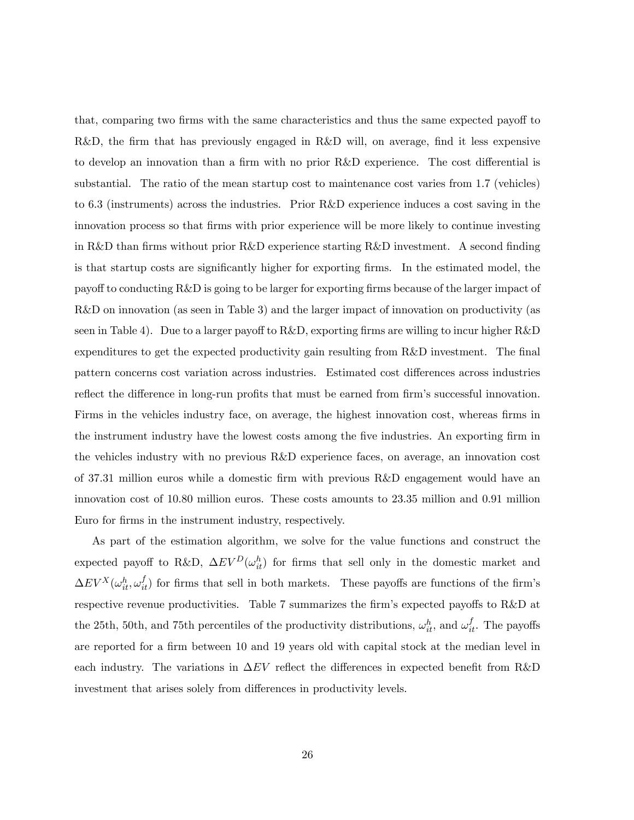that, comparing two firms with the same characteristics and thus the same expected payoff to  $R&D$ , the firm that has previously engaged in  $R&D$  will, on average, find it less expensive to develop an innovation than a firm with no prior  $R&D$  experience. The cost differential is substantial. The ratio of the mean startup cost to maintenance cost varies from 1.7 (vehicles) to 6.3 (instruments) across the industries. Prior R&D experience induces a cost saving in the innovation process so that Örms with prior experience will be more likely to continue investing in R&D than firms without prior R&D experience starting R&D investment. A second finding is that startup costs are significantly higher for exporting firms. In the estimated model, the payoff to conducting R&D is going to be larger for exporting firms because of the larger impact of R&D on innovation (as seen in Table 3) and the larger impact of innovation on productivity (as seen in Table 4). Due to a larger payoff to  $R&D$ , exporting firms are willing to incur higher  $R&D$ expenditures to get the expected productivity gain resulting from R&D investment. The final pattern concerns cost variation across industries. Estimated cost differences across industries reflect the difference in long-run profits that must be earned from firm's successful innovation. Firms in the vehicles industry face, on average, the highest innovation cost, whereas firms in the instrument industry have the lowest costs among the five industries. An exporting firm in the vehicles industry with no previous R&D experience faces, on average, an innovation cost of 37.31 million euros while a domestic Örm with previous R&D engagement would have an innovation cost of 10.80 million euros. These costs amounts to 23.35 million and 0.91 million Euro for firms in the instrument industry, respectively.

As part of the estimation algorithm, we solve for the value functions and construct the expected payoff to R&D,  $\Delta EV^D(\omega_{it}^h)$  for firms that sell only in the domestic market and  $\Delta EV^X(\omega_{it}^h, \omega_{it}^f)$  for firms that sell in both markets. These payoffs are functions of the firm's respective revenue productivities. Table 7 summarizes the firm's expected payoffs to R&D at the 25th, 50th, and 75th percentiles of the productivity distributions,  $\omega_{it}^h$ , and  $\omega_{it}^f$ . The payoffs are reported for a firm between 10 and 19 years old with capital stock at the median level in each industry. The variations in  $\Delta EV$  reflect the differences in expected benefit from R&D investment that arises solely from differences in productivity levels.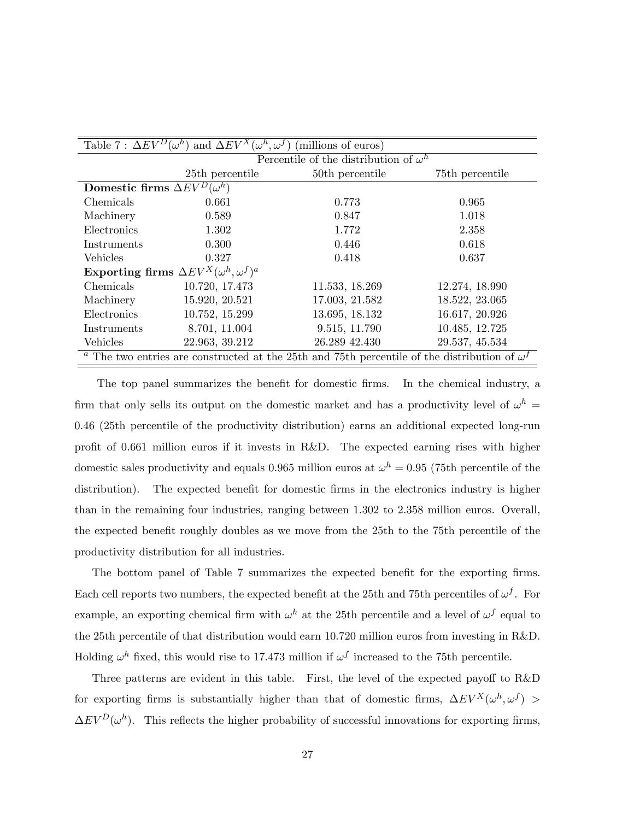| Table 7 : $\Delta EV^D(\omega^h)$<br>and $\Delta EV^X(\omega^h, \omega^f)$<br>(millions of euros) |                 |                                                                                                                       |                 |  |  |  |  |  |  |
|---------------------------------------------------------------------------------------------------|-----------------|-----------------------------------------------------------------------------------------------------------------------|-----------------|--|--|--|--|--|--|
|                                                                                                   |                 | Percentile of the distribution of $\omega^h$                                                                          |                 |  |  |  |  |  |  |
|                                                                                                   | 25th percentile | 50th percentile                                                                                                       | 75th percentile |  |  |  |  |  |  |
| Domestic firms $\Delta EV^D(\omega^h)$                                                            |                 |                                                                                                                       |                 |  |  |  |  |  |  |
| Chemicals                                                                                         | 0.661           | 0.773                                                                                                                 | 0.965           |  |  |  |  |  |  |
| Machinery                                                                                         | 0.589           | 0.847                                                                                                                 | 1.018           |  |  |  |  |  |  |
| Electronics                                                                                       | 1.302           | 1.772                                                                                                                 | 2.358           |  |  |  |  |  |  |
| Instruments                                                                                       | 0.300           | 0.446                                                                                                                 | 0.618           |  |  |  |  |  |  |
| <b>Vehicles</b>                                                                                   | 0.327           | 0.418                                                                                                                 | 0.637           |  |  |  |  |  |  |
| Exporting firms $\Delta EV^X(\omega^h,\omega^f)^a$                                                |                 |                                                                                                                       |                 |  |  |  |  |  |  |
| Chemicals                                                                                         | 10.720, 17.473  | 11.533, 18.269                                                                                                        | 12.274, 18.990  |  |  |  |  |  |  |
| Machinery                                                                                         | 15.920, 20.521  | 17.003, 21.582                                                                                                        | 18.522, 23.065  |  |  |  |  |  |  |
| Electronics                                                                                       | 10.752, 15.299  | 13.695, 18.132                                                                                                        | 16.617, 20.926  |  |  |  |  |  |  |
| Instruments                                                                                       | 8.701, 11.004   | 9.515, 11.790                                                                                                         | 10.485, 12.725  |  |  |  |  |  |  |
| Vehicles                                                                                          | 22.963, 39.212  | 26.289 42.430                                                                                                         | 29.537, 45.534  |  |  |  |  |  |  |
|                                                                                                   |                 | <sup><i>a</i></sup> The two entries are constructed at the 25th and 75th percentile of the distribution of $\omega^f$ |                 |  |  |  |  |  |  |

The top panel summarizes the benefit for domestic firms. In the chemical industry, a firm that only sells its output on the domestic market and has a productivity level of  $\omega^h$  = 0:46 (25th percentile of the productivity distribution) earns an additional expected long-run profit of 0.661 million euros if it invests in R&D. The expected earning rises with higher domestic sales productivity and equals 0.965 million euros at  $\omega^h = 0.95$  (75th percentile of the distribution). The expected benefit for domestic firms in the electronics industry is higher than in the remaining four industries, ranging between 1.302 to 2.358 million euros. Overall, the expected benefit roughly doubles as we move from the 25th to the 75th percentile of the productivity distribution for all industries.

The bottom panel of Table 7 summarizes the expected benefit for the exporting firms. Each cell reports two numbers, the expected benefit at the 25th and 75th percentiles of  $\omega^f$ . For example, an exporting chemical firm with  $\omega^h$  at the 25th percentile and a level of  $\omega^f$  equal to the 25th percentile of that distribution would earn 10.720 million euros from investing in R&D. Holding  $\omega^h$  fixed, this would rise to 17.473 million if  $\omega^f$  increased to the 75th percentile.

Three patterns are evident in this table. First, the level of the expected payoff to  $R&D$ for exporting firms is substantially higher than that of domestic firms,  $\Delta EV^X(\omega^h, \omega^f)$  $\Delta EV^D(\omega^h)$ . This reflects the higher probability of successful innovations for exporting firms,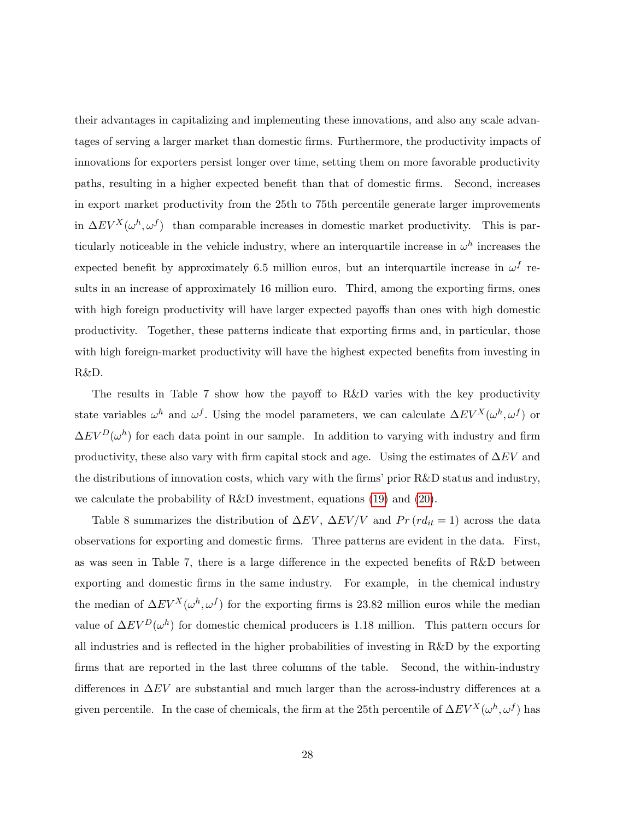their advantages in capitalizing and implementing these innovations, and also any scale advantages of serving a larger market than domestic Örms. Furthermore, the productivity impacts of innovations for exporters persist longer over time, setting them on more favorable productivity paths, resulting in a higher expected benefit than that of domestic firms. Second, increases in export market productivity from the 25th to 75th percentile generate larger improvements in  $\Delta EV^X(\omega^h, \omega^f)$  than comparable increases in domestic market productivity. This is particularly noticeable in the vehicle industry, where an interquartile increase in  $\omega^h$  increases the expected benefit by approximately 6.5 million euros, but an interquartile increase in  $\omega^f$  results in an increase of approximately 16 million euro. Third, among the exporting firms, ones with high foreign productivity will have larger expected payoffs than ones with high domestic productivity. Together, these patterns indicate that exporting Örms and, in particular, those with high foreign-market productivity will have the highest expected benefits from investing in R&D.

The results in Table 7 show how the payoff to  $R\&D$  varies with the key productivity state variables  $\omega^h$  and  $\omega^f$ . Using the model parameters, we can calculate  $\Delta EV^X(\omega^h, \omega^f)$  or  $\Delta EV^D(\omega^h)$  for each data point in our sample. In addition to varying with industry and firm productivity, these also vary with firm capital stock and age. Using the estimates of  $\Delta EV$  and the distributions of innovation costs, which vary with the firms' prior  $R&D$  status and industry, we calculate the probability of R&D investment, equations [\(19\)](#page-19-2) and [\(20\)](#page-19-3).

Table 8 summarizes the distribution of  $\Delta EV$ ,  $\Delta EV/V$  and  $Pr (r d_{it} = 1)$  across the data observations for exporting and domestic Örms. Three patterns are evident in the data. First, as was seen in Table 7, there is a large difference in the expected benefits of  $R&D$  between exporting and domestic Örms in the same industry. For example, in the chemical industry the median of  $\Delta EV^X(\omega^h, \omega^f)$  for the exporting firms is 23.82 million euros while the median value of  $\Delta EV^D(\omega^h)$  for domestic chemical producers is 1.18 million. This pattern occurs for all industries and is reflected in the higher probabilities of investing in R&D by the exporting firms that are reported in the last three columns of the table. Second, the within-industry differences in  $\Delta EV$  are substantial and much larger than the across-industry differences at a given percentile. In the case of chemicals, the firm at the 25th percentile of  $\Delta EV^X(\omega^h, \omega^f)$  has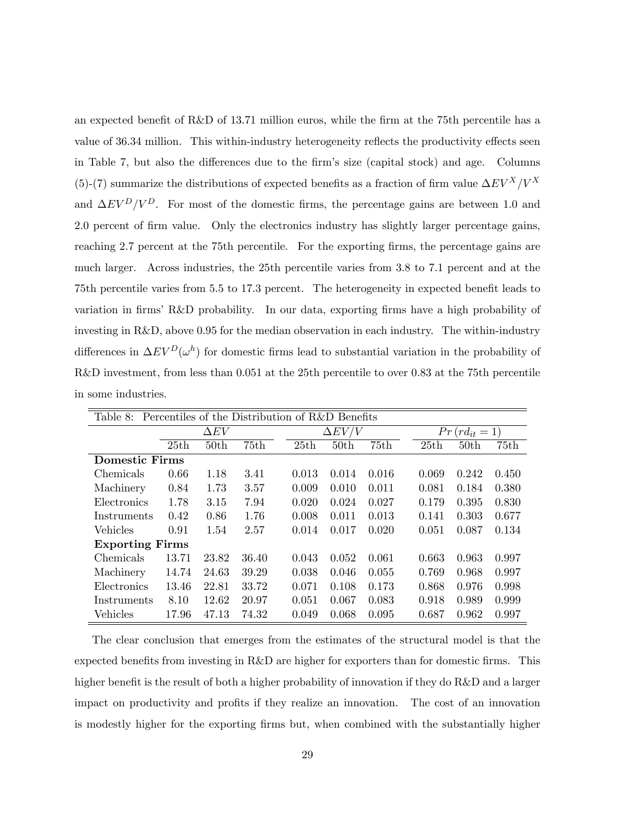an expected benefit of R&D of 13.71 million euros, while the firm at the 75th percentile has a value of 36.34 million. This within-industry heterogeneity reflects the productivity effects seen in Table 7, but also the differences due to the firm's size (capital stock) and age. Columns (5)-(7) summarize the distributions of expected benefits as a fraction of firm value  $\Delta EV^X/V^X$ and  $\Delta EV^D/V^D$ . For most of the domestic firms, the percentage gains are between 1.0 and 2.0 percent of firm value. Only the electronics industry has slightly larger percentage gains, reaching 2.7 percent at the 75th percentile. For the exporting firms, the percentage gains are much larger. Across industries, the 25th percentile varies from 3.8 to 7.1 percent and at the 75th percentile varies from 5.5 to 17.3 percent. The heterogeneity in expected benefit leads to variation in firms' R&D probability. In our data, exporting firms have a high probability of investing in R&D, above 0.95 for the median observation in each industry. The within-industry differences in  $\Delta EV^D(\omega^h)$  for domestic firms lead to substantial variation in the probability of R&D investment, from less than 0.051 at the 25th percentile to over 0.83 at the 75th percentile in some industries.

| Percentiles of the Distribution of R&D Benefits<br>Table 8: |             |                  |       |       |                  |       |       |                     |       |  |
|-------------------------------------------------------------|-------------|------------------|-------|-------|------------------|-------|-------|---------------------|-------|--|
|                                                             | $\Delta EV$ |                  |       |       | $\Delta EV/V$    |       |       | $Pr (r d_{it} = 1)$ |       |  |
|                                                             | 25th        | 50 <sub>th</sub> | 75th  | 25th  | 50 <sub>th</sub> | 75th  | 25th  | 50 <sub>th</sub>    | 75th  |  |
| <b>Domestic Firms</b>                                       |             |                  |       |       |                  |       |       |                     |       |  |
| Chemicals                                                   | 0.66        | 1.18             | 3.41  | 0.013 | 0.014            | 0.016 | 0.069 | 0.242               | 0.450 |  |
| Machinery                                                   | 0.84        | 1.73             | 3.57  | 0.009 | 0.010            | 0.011 | 0.081 | 0.184               | 0.380 |  |
| Electronics                                                 | 1.78        | 3.15             | 7.94  | 0.020 | 0.024            | 0.027 | 0.179 | 0.395               | 0.830 |  |
| Instruments                                                 | 0.42        | 0.86             | 1.76  | 0.008 | 0.011            | 0.013 | 0.141 | 0.303               | 0.677 |  |
| <b>Vehicles</b>                                             | 0.91        | 1.54             | 2.57  | 0.014 | 0.017            | 0.020 | 0.051 | 0.087               | 0.134 |  |
| <b>Exporting Firms</b>                                      |             |                  |       |       |                  |       |       |                     |       |  |
| Chemicals                                                   | 13.71       | 23.82            | 36.40 | 0.043 | 0.052            | 0.061 | 0.663 | 0.963               | 0.997 |  |
| Machinery                                                   | 14.74       | 24.63            | 39.29 | 0.038 | 0.046            | 0.055 | 0.769 | 0.968               | 0.997 |  |
| Electronics                                                 | 13.46       | 22.81            | 33.72 | 0.071 | 0.108            | 0.173 | 0.868 | 0.976               | 0.998 |  |
| Instruments                                                 | 8.10        | 12.62            | 20.97 | 0.051 | 0.067            | 0.083 | 0.918 | 0.989               | 0.999 |  |
| Vehicles                                                    | 17.96       | 47.13            | 74.32 | 0.049 | 0.068            | 0.095 | 0.687 | 0.962               | 0.997 |  |

The clear conclusion that emerges from the estimates of the structural model is that the expected benefits from investing in  $R&D$  are higher for exporters than for domestic firms. This higher benefit is the result of both a higher probability of innovation if they do  $R&D$  and a larger impact on productivity and profits if they realize an innovation. The cost of an innovation is modestly higher for the exporting firms but, when combined with the substantially higher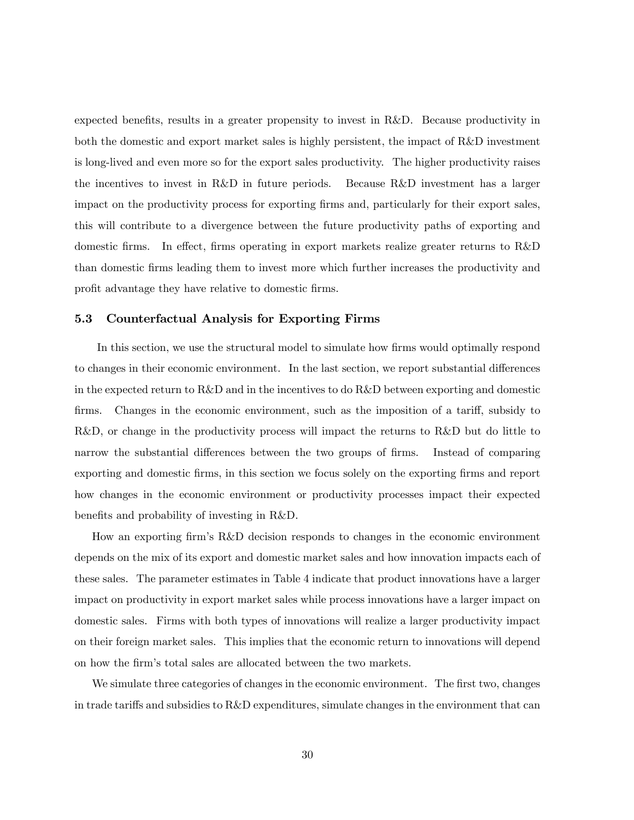expected benefits, results in a greater propensity to invest in  $R\&D$ . Because productivity in both the domestic and export market sales is highly persistent, the impact of R&D investment is long-lived and even more so for the export sales productivity. The higher productivity raises the incentives to invest in R&D in future periods. Because R&D investment has a larger impact on the productivity process for exporting firms and, particularly for their export sales, this will contribute to a divergence between the future productivity paths of exporting and domestic firms. In effect, firms operating in export markets realize greater returns to  $R\&D$ than domestic Örms leading them to invest more which further increases the productivity and profit advantage they have relative to domestic firms.

#### 5.3 Counterfactual Analysis for Exporting Firms

In this section, we use the structural model to simulate how firms would optimally respond to changes in their economic environment. In the last section, we report substantial differences in the expected return to R&D and in the incentives to do R&D between exporting and domestic firms. Changes in the economic environment, such as the imposition of a tariff, subsidy to R&D, or change in the productivity process will impact the returns to R&D but do little to narrow the substantial differences between the two groups of firms. Instead of comparing exporting and domestic Örms, in this section we focus solely on the exporting Örms and report how changes in the economic environment or productivity processes impact their expected benefits and probability of investing in R&D.

How an exporting firm's R&D decision responds to changes in the economic environment depends on the mix of its export and domestic market sales and how innovation impacts each of these sales. The parameter estimates in Table 4 indicate that product innovations have a larger impact on productivity in export market sales while process innovations have a larger impact on domestic sales. Firms with both types of innovations will realize a larger productivity impact on their foreign market sales. This implies that the economic return to innovations will depend on how the firm's total sales are allocated between the two markets.

We simulate three categories of changes in the economic environment. The first two, changes in trade tariffs and subsidies to  $R\&D$  expenditures, simulate changes in the environment that can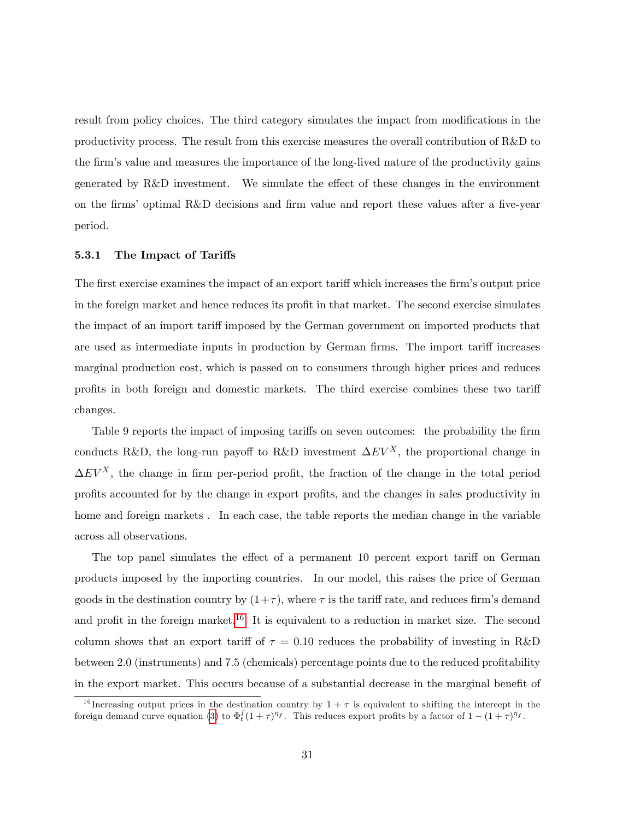result from policy choices. The third category simulates the impact from modifications in the productivity process. The result from this exercise measures the overall contribution of R&D to the firm's value and measures the importance of the long-lived nature of the productivity gains generated by  $R\&D$  investment. We simulate the effect of these changes in the environment on the firms' optimal R&D decisions and firm value and report these values after a five-year period.

#### 5.3.1 The Impact of Tariffs

The first exercise examines the impact of an export tariff which increases the firm's output price in the foreign market and hence reduces its profit in that market. The second exercise simulates the impact of an import tariff imposed by the German government on imported products that are used as intermediate inputs in production by German firms. The import tariff increases marginal production cost, which is passed on to consumers through higher prices and reduces profits in both foreign and domestic markets. The third exercise combines these two tariff changes.

Table 9 reports the impact of imposing tariffs on seven outcomes: the probability the firm conducts R&D, the long-run payoff to R&D investment  $\Delta EV^X$ , the proportional change in  $\Delta EV^X$ , the change in firm per-period profit, the fraction of the change in the total period profits accounted for by the change in export profits, and the changes in sales productivity in home and foreign markets . In each case, the table reports the median change in the variable across all observations.

The top panel simulates the effect of a permanent 10 percent export tariff on German products imposed by the importing countries. In our model, this raises the price of German goods in the destination country by  $(1+\tau)$ , where  $\tau$  is the tariff rate, and reduces firm's demand and profit in the foreign market.<sup>[16](#page-31-0)</sup> It is equivalent to a reduction in market size. The second column shows that an export tariff of  $\tau = 0.10$  reduces the probability of investing in R&D between 2.0 (instruments) and 7.5 (chemicals) percentage points due to the reduced profitability in the export market. This occurs because of a substantial decrease in the marginal benefit of

<span id="page-31-0"></span><sup>&</sup>lt;sup>16</sup> Increasing output prices in the destination country by  $1 + \tau$  is equivalent to shifting the intercept in the foreign demand curve equation [\(3\)](#page-7-1) to  $\Phi_t^f (1+\tau)^{\eta_f}$ . This reduces export profits by a factor of  $1 - (1+\tau)^{\eta_f}$ .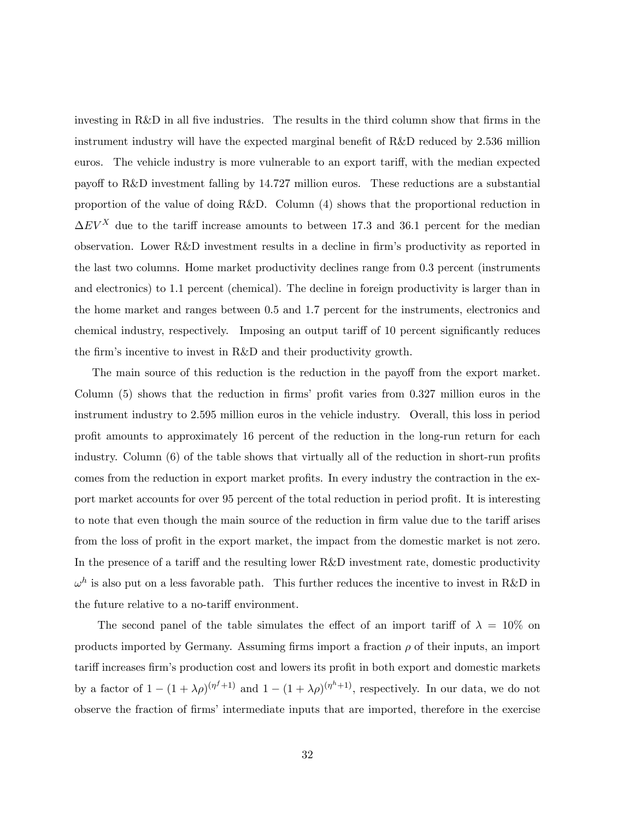investing in R&D in all five industries. The results in the third column show that firms in the instrument industry will have the expected marginal benefit of  $R&D$  reduced by 2.536 million euros. The vehicle industry is more vulnerable to an export tariff, with the median expected payoff to R&D investment falling by 14.727 million euros. These reductions are a substantial proportion of the value of doing R&D. Column (4) shows that the proportional reduction in  $\Delta EV^X$  due to the tariff increase amounts to between 17.3 and 36.1 percent for the median observation. Lower R&D investment results in a decline in Örmís productivity as reported in the last two columns. Home market productivity declines range from 0.3 percent (instruments and electronics) to 1.1 percent (chemical). The decline in foreign productivity is larger than in the home market and ranges between 0.5 and 1.7 percent for the instruments, electronics and chemical industry, respectively. Imposing an output tariff of 10 percent significantly reduces the firm's incentive to invest in R&D and their productivity growth.

The main source of this reduction is the reduction in the payoff from the export market. Column  $(5)$  shows that the reduction in firms' profit varies from 0.327 million euros in the instrument industry to 2.595 million euros in the vehicle industry. Overall, this loss in period profit amounts to approximately 16 percent of the reduction in the long-run return for each industry. Column  $(6)$  of the table shows that virtually all of the reduction in short-run profits comes from the reduction in export market profits. In every industry the contraction in the export market accounts for over 95 percent of the total reduction in period profit. It is interesting to note that even though the main source of the reduction in firm value due to the tariff arises from the loss of profit in the export market, the impact from the domestic market is not zero. In the presence of a tariff and the resulting lower  $R\&D$  investment rate, domestic productivity  $\omega^h$  is also put on a less favorable path. This further reduces the incentive to invest in R&D in the future relative to a no-tariff environment.

The second panel of the table simulates the effect of an import tariff of  $\lambda = 10\%$  on products imported by Germany. Assuming firms import a fraction  $\rho$  of their inputs, an import tariff increases firm's production cost and lowers its profit in both export and domestic markets by a factor of  $1 - (1 + \lambda \rho)^{(\eta^{f} + 1)}$  and  $1 - (1 + \lambda \rho)^{(\eta^{h} + 1)}$ , respectively. In our data, we do not observe the fraction of firms' intermediate inputs that are imported, therefore in the exercise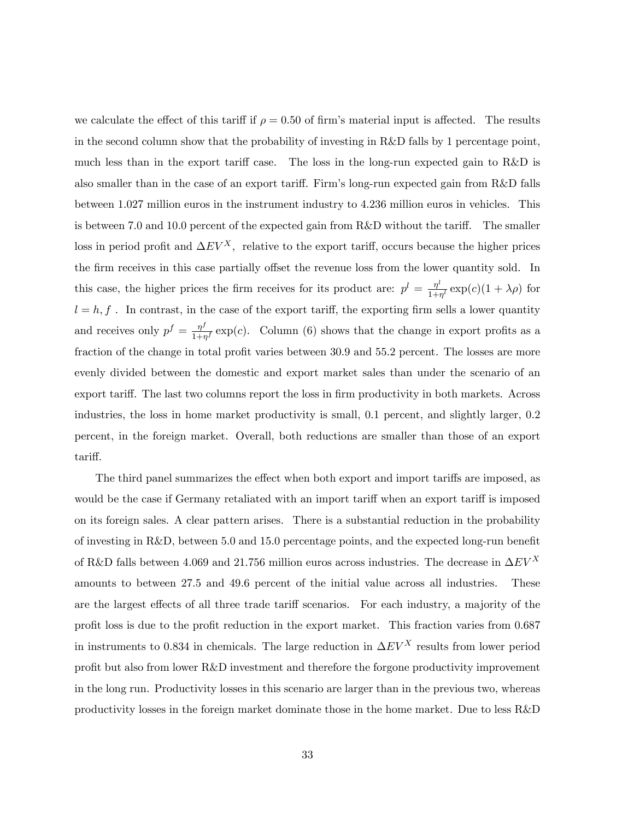we calculate the effect of this tariff if  $\rho = 0.50$  of firm's material input is affected. The results in the second column show that the probability of investing in R&D falls by 1 percentage point, much less than in the export tariff case. The loss in the long-run expected gain to  $R&D$  is also smaller than in the case of an export tariff. Firm's long-run expected gain from R&D falls between 1.027 million euros in the instrument industry to 4.236 million euros in vehicles. This is between 7.0 and 10.0 percent of the expected gain from  $R&D$  without the tariff. The smaller loss in period profit and  $\Delta EV^X$ , relative to the export tariff, occurs because the higher prices the firm receives in this case partially offset the revenue loss from the lower quantity sold. In this case, the higher prices the firm receives for its product are:  $p^l = \frac{\eta^l}{1+\epsilon}$  $\frac{\eta^*}{1+\eta^l} \exp(c)(1+\lambda \rho)$  for  $l = h, f$ . In contrast, in the case of the export tariff, the exporting firm sells a lower quantity and receives only  $p^f = \frac{\eta^f}{1+r^2}$  $\frac{\eta^3}{1+\eta^f}$  exp(c). Column (6) shows that the change in export profits as a fraction of the change in total profit varies between 30.9 and 55.2 percent. The losses are more evenly divided between the domestic and export market sales than under the scenario of an export tariff. The last two columns report the loss in firm productivity in both markets. Across industries, the loss in home market productivity is small, 0.1 percent, and slightly larger, 0.2 percent, in the foreign market. Overall, both reductions are smaller than those of an export tariff.

The third panel summarizes the effect when both export and import tariffs are imposed, as would be the case if Germany retaliated with an import tariff when an export tariff is imposed on its foreign sales. A clear pattern arises. There is a substantial reduction in the probability of investing in R&D, between 5.0 and 15.0 percentage points, and the expected long-run benefit of R&D falls between 4.069 and 21.756 million euros across industries. The decrease in  $\Delta EV^X$ amounts to between 27.5 and 49.6 percent of the initial value across all industries. These are the largest effects of all three trade tariff scenarios. For each industry, a majority of the profit loss is due to the profit reduction in the export market. This fraction varies from 0.687 in instruments to 0.834 in chemicals. The large reduction in  $\Delta EV^X$  results from lower period profit but also from lower  $R\&D$  investment and therefore the forgone productivity improvement in the long run. Productivity losses in this scenario are larger than in the previous two, whereas productivity losses in the foreign market dominate those in the home market. Due to less R&D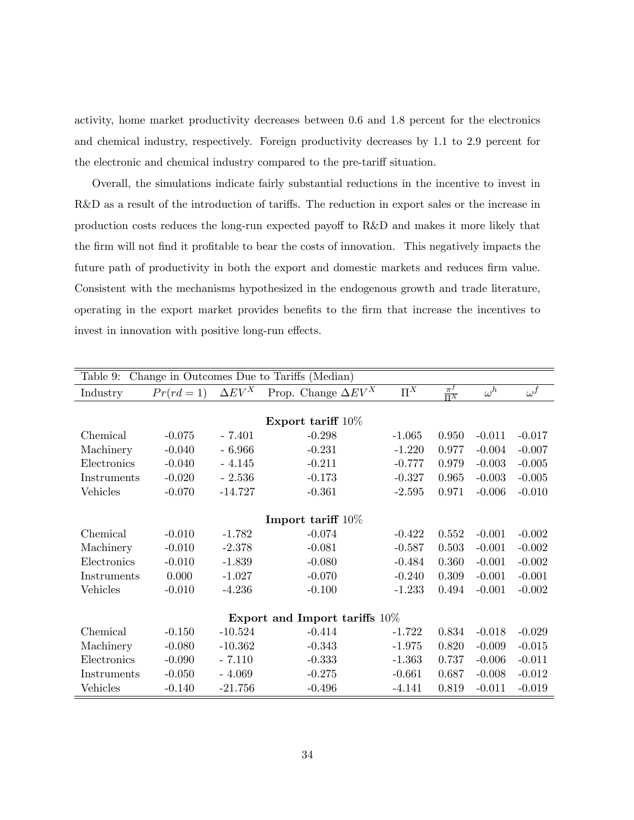activity, home market productivity decreases between 0.6 and 1.8 percent for the electronics and chemical industry, respectively. Foreign productivity decreases by 1.1 to 2.9 percent for the electronic and chemical industry compared to the pre-tariff situation.

Overall, the simulations indicate fairly substantial reductions in the incentive to invest in R&D as a result of the introduction of tariffs. The reduction in export sales or the increase in production costs reduces the long-run expected payoff to R&D and makes it more likely that the firm will not find it profitable to bear the costs of innovation. This negatively impacts the future path of productivity in both the export and domestic markets and reduces firm value. Consistent with the mechanisms hypothesized in the endogenous growth and trade literature, operating in the export market provides beneÖts to the Örm that increase the incentives to invest in innovation with positive long-run effects.

| Change in Outcomes Due to Tariffs (Median)<br>Table 9: |            |               |                                  |          |                       |            |            |
|--------------------------------------------------------|------------|---------------|----------------------------------|----------|-----------------------|------------|------------|
| Industry                                               | $Pr(rd=1)$ | $\Delta EV^X$ | Prop. Change $\Delta EV^X$       | $\Pi^X$  | $\frac{\pi^f}{\Pi^X}$ | $\omega^h$ | $\omega^f$ |
|                                                        |            |               |                                  |          |                       |            |            |
|                                                        |            |               | Export tariff $10\%$             |          |                       |            |            |
| Chemical                                               | $-0.075$   | $-7.401$      | $-0.298$                         | $-1.065$ | 0.950                 | $-0.011$   | $-0.017$   |
| Machinery                                              | $-0.040$   | - 6.966       | $-0.231$                         | $-1.220$ | 0.977                 | $-0.004$   | $-0.007$   |
| Electronics                                            | $-0.040$   | $-4.145$      | $-0.211$                         | $-0.777$ | 0.979                 | $-0.003$   | $-0.005$   |
| Instruments                                            | $-0.020$   | $-2.536$      | $-0.173$                         | $-0.327$ | 0.965                 | $-0.003$   | $-0.005$   |
| Vehicles                                               | $-0.070$   | $-14.727$     | $-0.361$                         | $-2.595$ | 0.971                 | $-0.006$   | $-0.010$   |
|                                                        |            |               |                                  |          |                       |            |            |
|                                                        |            |               | Import tariff $10\%$             |          |                       |            |            |
| Chemical                                               | $-0.010$   | $-1.782$      | $-0.074$                         | $-0.422$ | 0.552                 | $-0.001$   | $-0.002$   |
| Machinery                                              | $-0.010$   | $-2.378$      | $-0.081$                         | $-0.587$ | 0.503                 | $-0.001$   | $-0.002$   |
| Electronics                                            | $-0.010$   | $-1.839$      | $-0.080$                         | $-0.484$ | 0.360                 | $-0.001$   | $-0.002$   |
| Instruments                                            | 0.000      | $-1.027$      | $-0.070$                         | $-0.240$ | 0.309                 | $-0.001$   | $-0.001$   |
| Vehicles                                               | $-0.010$   | $-4.236$      | $-0.100$                         | $-1.233$ | 0.494                 | $-0.001$   | $-0.002$   |
|                                                        |            |               |                                  |          |                       |            |            |
|                                                        |            |               | Export and Import tariffs $10\%$ |          |                       |            |            |
| Chemical                                               | $-0.150$   | $-10.524$     | $-0.414$                         | $-1.722$ | 0.834                 | $-0.018$   | $-0.029$   |
| Machinery                                              | $-0.080$   | $-10.362$     | $-0.343$                         | $-1.975$ | 0.820                 | $-0.009$   | $-0.015$   |
| Electronics                                            | $-0.090$   | $-7.110$      | $-0.333$                         | $-1.363$ | 0.737                 | $-0.006$   | $-0.011$   |
| Instruments                                            | $-0.050$   | $-4.069$      | $-0.275$                         | $-0.661$ | 0.687                 | $-0.008$   | $-0.012$   |
| Vehicles                                               | $-0.140$   | $-21.756$     | $-0.496$                         | $-4.141$ | 0.819                 | $-0.011$   | $-0.019$   |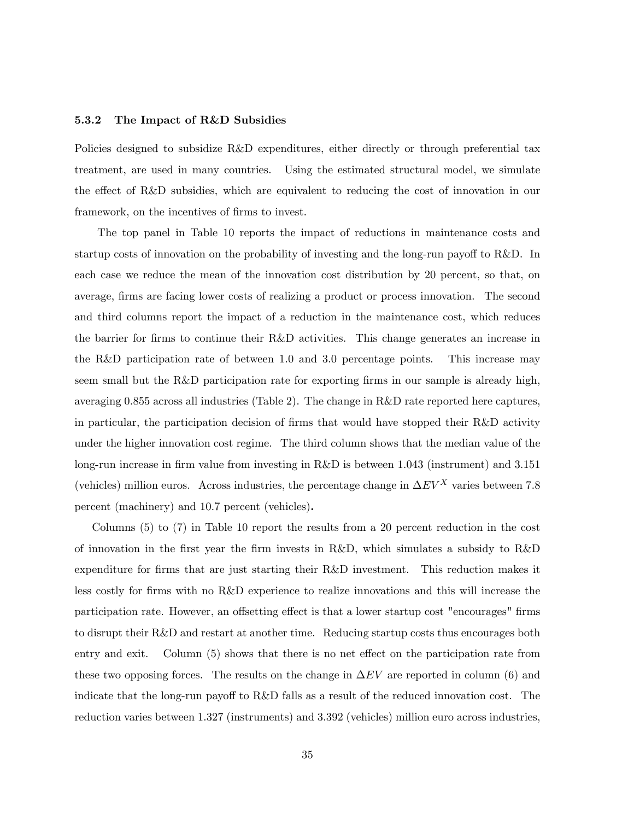#### 5.3.2 The Impact of R&D Subsidies

Policies designed to subsidize R&D expenditures, either directly or through preferential tax treatment, are used in many countries. Using the estimated structural model, we simulate the effect of R&D subsidies, which are equivalent to reducing the cost of innovation in our framework, on the incentives of firms to invest.

The top panel in Table 10 reports the impact of reductions in maintenance costs and startup costs of innovation on the probability of investing and the long-run payoff to  $R\&D$ . In each case we reduce the mean of the innovation cost distribution by 20 percent, so that, on average, firms are facing lower costs of realizing a product or process innovation. The second and third columns report the impact of a reduction in the maintenance cost, which reduces the barrier for firms to continue their R&D activities. This change generates an increase in the R&D participation rate of between 1.0 and 3.0 percentage points. This increase may seem small but the R&D participation rate for exporting firms in our sample is already high, averaging 0.855 across all industries (Table 2). The change in R&D rate reported here captures, in particular, the participation decision of firms that would have stopped their  $R\&D$  activity under the higher innovation cost regime. The third column shows that the median value of the long-run increase in firm value from investing in R&D is between 1.043 (instrument) and 3.151 (vehicles) million euros. Across industries, the percentage change in  $\Delta EV^X$  varies between 7.8 percent (machinery) and 10.7 percent (vehicles).

Columns (5) to (7) in Table 10 report the results from a 20 percent reduction in the cost of innovation in the first year the firm invests in R&D, which simulates a subsidy to  $R&D$ expenditure for firms that are just starting their R&D investment. This reduction makes it less costly for firms with no R&D experience to realize innovations and this will increase the participation rate. However, an offsetting effect is that a lower startup cost "encourages" firms to disrupt their R&D and restart at another time. Reducing startup costs thus encourages both entry and exit. Column (5) shows that there is no net effect on the participation rate from these two opposing forces. The results on the change in  $\Delta EV$  are reported in column (6) and indicate that the long-run payoff to R&D falls as a result of the reduced innovation cost. The reduction varies between 1.327 (instruments) and 3.392 (vehicles) million euro across industries,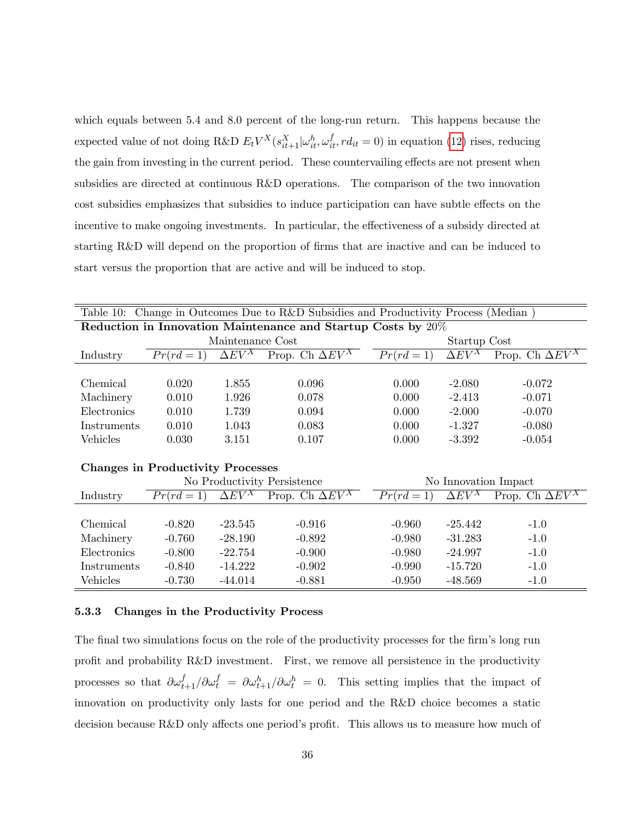which equals between 5.4 and 8.0 percent of the long-run return. This happens because the expected value of not doing R&D  $E_t V^X(s_{it+1}^X | \omega_{it}^h, \omega_{it}^f, rd_{it} = 0)$  in equation [\(12\)](#page-12-1) rises, reducing the gain from investing in the current period. These countervailing effects are not present when subsidies are directed at continuous R&D operations. The comparison of the two innovation cost subsidies emphasizes that subsidies to induce participation can have subtle effects on the incentive to make ongoing investments. In particular, the effectiveness of a subsidy directed at starting R&D will depend on the proportion of firms that are inactive and can be induced to start versus the proportion that are active and will be induced to stop.

| Table 10: Change in Outcomes Due to R&D Subsidies and Productivity Process (Median) |                                          |                          |                             |                      |                          |                                   |  |  |  |
|-------------------------------------------------------------------------------------|------------------------------------------|--------------------------|-----------------------------|----------------------|--------------------------|-----------------------------------|--|--|--|
| Reduction in Innovation Maintenance and Startup Costs by 20%                        |                                          |                          |                             |                      |                          |                                   |  |  |  |
|                                                                                     |                                          | Maintenance Cost         |                             | Startup Cost         |                          |                                   |  |  |  |
| Industry                                                                            | $Pr(rd=1)$                               | $\Delta E\overline{V^X}$ | Prop. Ch $\Delta EV^X$      | $Pr(rd = 1)$         | $\Delta E\overline{V^X}$ | Prop. Ch $\overline{\Delta EV^X}$ |  |  |  |
|                                                                                     |                                          |                          |                             |                      |                          |                                   |  |  |  |
| Chemical                                                                            | 0.020                                    | 1.855                    | 0.096                       | 0.000                | $-2.080$                 | $-0.072$                          |  |  |  |
| Machinery                                                                           | 0.010                                    | 1.926                    | 0.078                       | 0.000                | $-2.413$                 | $-0.071$                          |  |  |  |
| Electronics                                                                         | 0.010                                    | 1.739                    | 0.094                       | 0.000                | $-2.000$                 | $-0.070$                          |  |  |  |
| Instruments                                                                         | 0.010                                    | 1.043                    | 0.083                       | 0.000                | $-1.327$                 | $-0.080$                          |  |  |  |
| Vehicles                                                                            | 0.030                                    | 3.151                    | 0.107                       | 0.000                | $-3.392$                 | $-0.054$                          |  |  |  |
|                                                                                     |                                          |                          |                             |                      |                          |                                   |  |  |  |
|                                                                                     | <b>Changes in Productivity Processes</b> |                          |                             |                      |                          |                                   |  |  |  |
|                                                                                     |                                          |                          | No Productivity Persistence | No Innovation Impact |                          |                                   |  |  |  |
| Industry                                                                            | $Pr(rd=1)$                               | $\Delta EV^X$            | Prop. Ch $\Delta EV^X$      | $Pr(rd = 1)$         | $\Delta EV^X$            | Prop. Ch $\overline{\Delta EV^X}$ |  |  |  |
|                                                                                     |                                          |                          |                             |                      |                          |                                   |  |  |  |
| Chemical                                                                            | $-0.820$                                 | $-23.545$                | $-0.916$                    | $-0.960$             | $-25.442$                | $-1.0$                            |  |  |  |
| Machinery                                                                           | $-0.760$                                 | $-28.190$                | $-0.892$                    | $-0.980$             | $-31.283$                | $-1.0$                            |  |  |  |
| Electronics                                                                         | $-0.800$                                 | $-22.754$                | $-0.900$                    | $-0.980$             | $-24.997$                | $-1.0$                            |  |  |  |
| Instruments                                                                         | $-0.840$                                 | $-14.222$                | $-0.902$                    | $-0.990$             | $-15.720$                | $-1.0$                            |  |  |  |
| Vehicles                                                                            | $-0.730$                                 | $-44.014$                | $-0.881$                    | $-0.950$             | $-48.569$                | $-1.0$                            |  |  |  |

#### 5.3.3 Changes in the Productivity Process

The final two simulations focus on the role of the productivity processes for the firm's long run profit and probability R&D investment. First, we remove all persistence in the productivity processes so that  $\partial \omega_{t+1}^f / \partial \omega_t^f = \partial \omega_{t+1}^h / \partial \omega_t^h = 0$ . This setting implies that the impact of innovation on productivity only lasts for one period and the R&D choice becomes a static decision because  $R&D$  only affects one period's profit. This allows us to measure how much of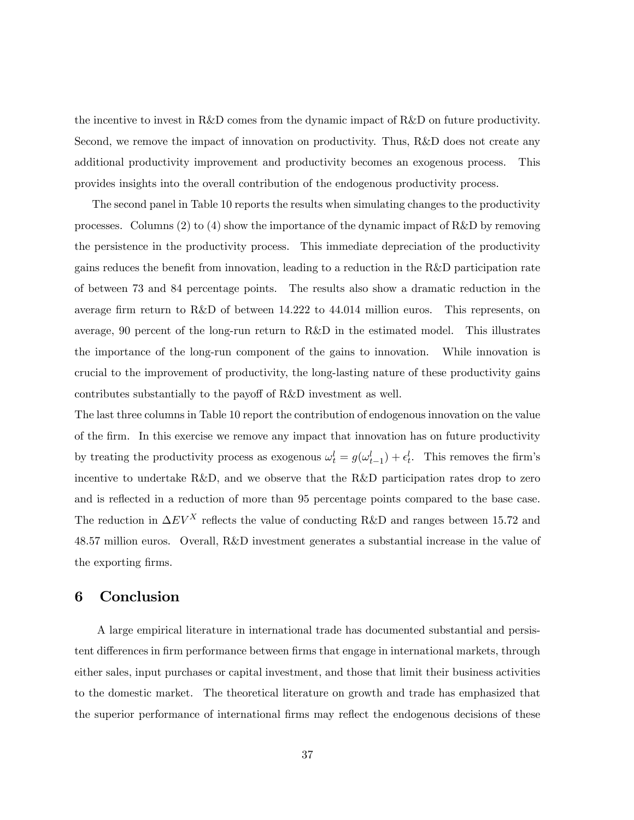the incentive to invest in R&D comes from the dynamic impact of R&D on future productivity. Second, we remove the impact of innovation on productivity. Thus, R&D does not create any additional productivity improvement and productivity becomes an exogenous process. This provides insights into the overall contribution of the endogenous productivity process.

The second panel in Table 10 reports the results when simulating changes to the productivity processes. Columns (2) to (4) show the importance of the dynamic impact of R&D by removing the persistence in the productivity process. This immediate depreciation of the productivity gains reduces the benefit from innovation, leading to a reduction in the R&D participation rate of between 73 and 84 percentage points. The results also show a dramatic reduction in the average firm return to R&D of between 14.222 to 44.014 million euros. This represents, on average, 90 percent of the long-run return to R&D in the estimated model. This illustrates the importance of the long-run component of the gains to innovation. While innovation is crucial to the improvement of productivity, the long-lasting nature of these productivity gains contributes substantially to the payoff of R&D investment as well.

The last three columns in Table 10 report the contribution of endogenous innovation on the value of the Örm. In this exercise we remove any impact that innovation has on future productivity by treating the productivity process as exogenous  $\omega_t^l = g(\omega_{t-1}^l) + \epsilon_t^l$ . This removes the firm's incentive to undertake R&D, and we observe that the R&D participation rates drop to zero and is reflected in a reduction of more than 95 percentage points compared to the base case. The reduction in  $\Delta EV^X$  reflects the value of conducting R&D and ranges between 15.72 and 48.57 million euros. Overall, R&D investment generates a substantial increase in the value of the exporting firms.

## 6 Conclusion

A large empirical literature in international trade has documented substantial and persistent differences in firm performance between firms that engage in international markets, through either sales, input purchases or capital investment, and those that limit their business activities to the domestic market. The theoretical literature on growth and trade has emphasized that the superior performance of international firms may reflect the endogenous decisions of these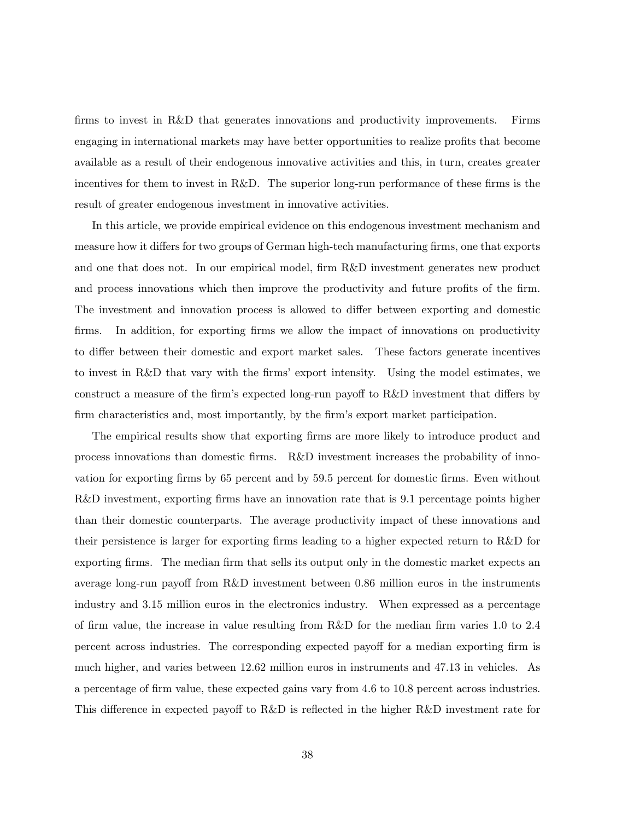firms to invest in R&D that generates innovations and productivity improvements. Firms engaging in international markets may have better opportunities to realize profits that become available as a result of their endogenous innovative activities and this, in turn, creates greater incentives for them to invest in R&D. The superior long-run performance of these firms is the result of greater endogenous investment in innovative activities.

In this article, we provide empirical evidence on this endogenous investment mechanism and measure how it differs for two groups of German high-tech manufacturing firms, one that exports and one that does not. In our empirical model, firm R&D investment generates new product and process innovations which then improve the productivity and future profits of the firm. The investment and innovation process is allowed to differ between exporting and domestic firms. In addition, for exporting firms we allow the impact of innovations on productivity to differ between their domestic and export market sales. These factors generate incentives to invest in R&D that vary with the firms' export intensity. Using the model estimates, we construct a measure of the firm's expected long-run payoff to  $R&D$  investment that differs by firm characteristics and, most importantly, by the firm's export market participation.

The empirical results show that exporting firms are more likely to introduce product and process innovations than domestic Örms. R&D investment increases the probability of innovation for exporting Örms by 65 percent and by 59.5 percent for domestic Örms. Even without R&D investment, exporting firms have an innovation rate that is 9.1 percentage points higher than their domestic counterparts. The average productivity impact of these innovations and their persistence is larger for exporting firms leading to a higher expected return to  $R\&D$  for exporting firms. The median firm that sells its output only in the domestic market expects an average long-run payoff from  $R\&D$  investment between 0.86 million euros in the instruments industry and 3.15 million euros in the electronics industry. When expressed as a percentage of firm value, the increase in value resulting from R&D for the median firm varies 1.0 to 2.4 percent across industries. The corresponding expected payoff for a median exporting firm is much higher, and varies between 12.62 million euros in instruments and 47.13 in vehicles. As a percentage of firm value, these expected gains vary from 4.6 to 10.8 percent across industries. This difference in expected payoff to R&D is reflected in the higher R&D investment rate for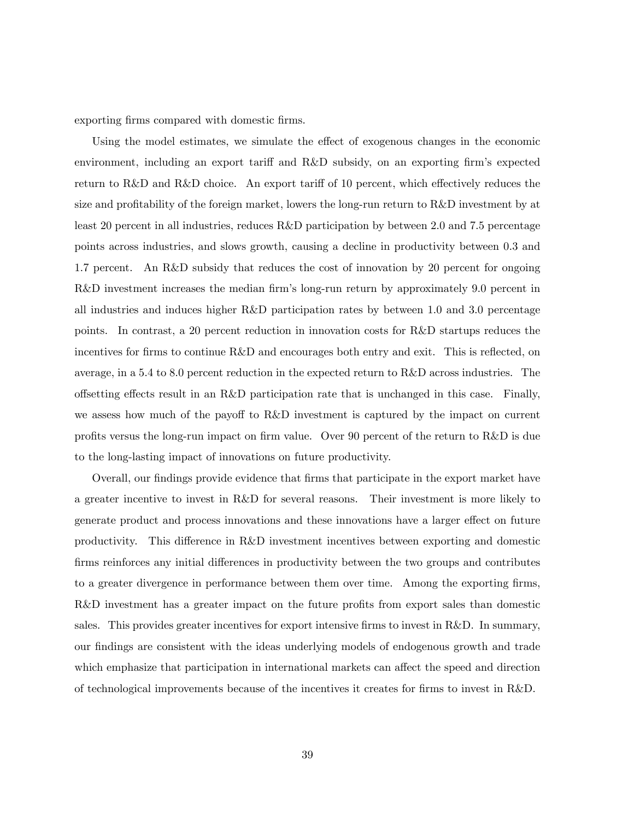exporting firms compared with domestic firms.

Using the model estimates, we simulate the effect of exogenous changes in the economic environment, including an export tariff and  $R&D$  subsidy, on an exporting firm's expected return to R&D and R&D choice. An export tariff of 10 percent, which effectively reduces the size and profitability of the foreign market, lowers the long-run return to  $R\&D$  investment by at least 20 percent in all industries, reduces R&D participation by between 2.0 and 7.5 percentage points across industries, and slows growth, causing a decline in productivity between 0.3 and 1.7 percent. An R&D subsidy that reduces the cost of innovation by 20 percent for ongoing R&D investment increases the median firm's long-run return by approximately 9.0 percent in all industries and induces higher R&D participation rates by between 1.0 and 3.0 percentage points. In contrast, a 20 percent reduction in innovation costs for R&D startups reduces the incentives for firms to continue  $R\&D$  and encourages both entry and exit. This is reflected, on average, in a 5.4 to 8.0 percent reduction in the expected return to R&D across industries. The offsetting effects result in an R&D participation rate that is unchanged in this case. Finally, we assess how much of the payoff to  $R&D$  investment is captured by the impact on current profits versus the long-run impact on firm value. Over 90 percent of the return to  $R\&D$  is due to the long-lasting impact of innovations on future productivity.

Overall, our findings provide evidence that firms that participate in the export market have a greater incentive to invest in R&D for several reasons. Their investment is more likely to generate product and process innovations and these innovations have a larger effect on future productivity. This difference in R&D investment incentives between exporting and domestic firms reinforces any initial differences in productivity between the two groups and contributes to a greater divergence in performance between them over time. Among the exporting firms, R&D investment has a greater impact on the future profits from export sales than domestic sales. This provides greater incentives for export intensive firms to invest in R&D. In summary, our findings are consistent with the ideas underlying models of endogenous growth and trade which emphasize that participation in international markets can affect the speed and direction of technological improvements because of the incentives it creates for Örms to invest in R&D.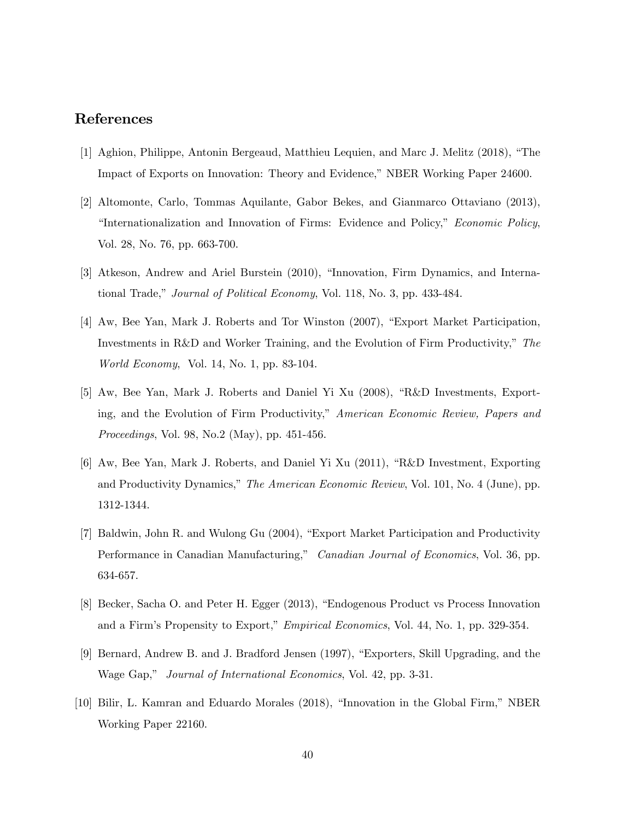# References

- [1] Aghion, Philippe, Antonin Bergeaud, Matthieu Lequien, and Marc J. Melitz (2018), "The Impact of Exports on Innovation: Theory and Evidence," NBER Working Paper 24600.
- [2] Altomonte, Carlo, Tommas Aquilante, Gabor Bekes, and Gianmarco Ottaviano (2013), "Internationalization and Innovation of Firms: Evidence and Policy," *Economic Policy*, Vol. 28, No. 76, pp. 663-700.
- [3] Atkeson, Andrew and Ariel Burstein (2010), "Innovation, Firm Dynamics, and International Trade," Journal of Political Economy, Vol. 118, No. 3, pp. 433-484.
- [4] Aw, Bee Yan, Mark J. Roberts and Tor Winston (2007), "Export Market Participation, Investments in R&D and Worker Training, and the Evolution of Firm Productivity," The World Economy, Vol. 14, No. 1, pp. 83-104.
- [5] Aw, Bee Yan, Mark J. Roberts and Daniel Yi Xu (2008), "R&D Investments, Exporting, and the Evolution of Firm Productivity," American Economic Review, Papers and Proceedings, Vol. 98, No.2 (May), pp. 451-456.
- $[6]$  Aw, Bee Yan, Mark J. Roberts, and Daniel Yi Xu  $(2011)$ , "R&D Investment, Exporting and Productivity Dynamics," The American Economic Review, Vol. 101, No. 4 (June), pp. 1312-1344.
- [7] Baldwin, John R. and Wulong Gu (2004), "Export Market Participation and Productivity Performance in Canadian Manufacturing," Canadian Journal of Economics, Vol. 36, pp. 634-657.
- [8] Becker, Sacha O. and Peter H. Egger (2013), "Endogenous Product vs Process Innovation and a Firm's Propensity to Export," *Empirical Economics*, Vol. 44, No. 1, pp. 329-354.
- [9] Bernard, Andrew B. and J. Bradford Jensen (1997), "Exporters, Skill Upgrading, and the Wage Gap," Journal of International Economics, Vol. 42, pp. 3-31.
- [10] Bilir, L. Kamran and Eduardo Morales (2018), "Innovation in the Global Firm," NBER Working Paper 22160.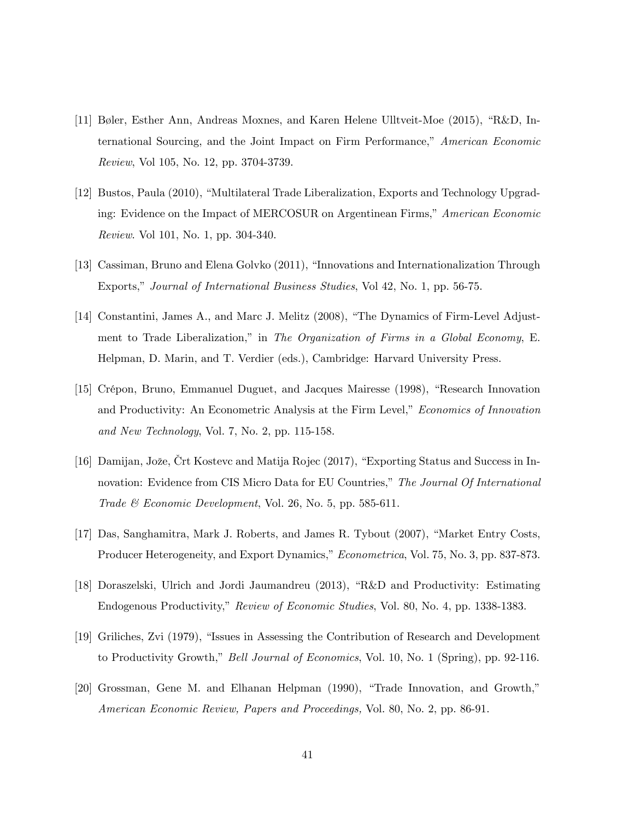- [11] Bøler, Esther Ann, Andreas Moxnes, and Karen Helene Ulltveit-Moe  $(2015)$ , "R&D, International Sourcing, and the Joint Impact on Firm Performance,<sup>n</sup> American Economic Review, Vol 105, No. 12, pp. 3704-3739.
- [12] Bustos, Paula (2010), "Multilateral Trade Liberalization, Exports and Technology Upgrading: Evidence on the Impact of MERCOSUR on Argentinean Firms," American Economic Review. Vol 101, No. 1, pp. 304-340.
- [13] Cassiman, Bruno and Elena Golvko (2011), "Innovations and Internationalization Through Exports," Journal of International Business Studies, Vol 42, No. 1, pp. 56-75.
- [14] Constantini, James A., and Marc J. Melitz (2008), "The Dynamics of Firm-Level Adjustment to Trade Liberalization," in The Organization of Firms in a Global Economy, E. Helpman, D. Marin, and T. Verdier (eds.), Cambridge: Harvard University Press.
- [15] Crépon, Bruno, Emmanuel Duguet, and Jacques Mairesse (1998), "Research Innovation and Productivity: An Econometric Analysis at the Firm Level," Economics of Innovation and New Technology, Vol. 7, No. 2, pp. 115-158.
- [16] Damijan, Jože, Crt Kostevc and Matija Rojec (2017), "Exporting Status and Success in Innovation: Evidence from CIS Micro Data for EU Countries," The Journal Of International Trade  $\mathcal C$  Economic Development, Vol. 26, No. 5, pp. 585-611.
- [17] Das, Sanghamitra, Mark J. Roberts, and James R. Tybout (2007), "Market Entry Costs, Producer Heterogeneity, and Export Dynamics," Econometrica, Vol. 75, No. 3, pp. 837-873.
- [18] Doraszelski, Ulrich and Jordi Jaumandreu (2013), "R&D and Productivity: Estimating Endogenous Productivity," Review of Economic Studies, Vol. 80, No. 4, pp. 1338-1383.
- [19] Griliches, Zvi (1979), "Issues in Assessing the Contribution of Research and Development to Productivity Growth," Bell Journal of Economics, Vol. 10, No. 1 (Spring), pp. 92-116.
- [20] Grossman, Gene M. and Elhanan Helpman (1990), "Trade Innovation, and Growth," American Economic Review, Papers and Proceedings, Vol. 80, No. 2, pp. 86-91.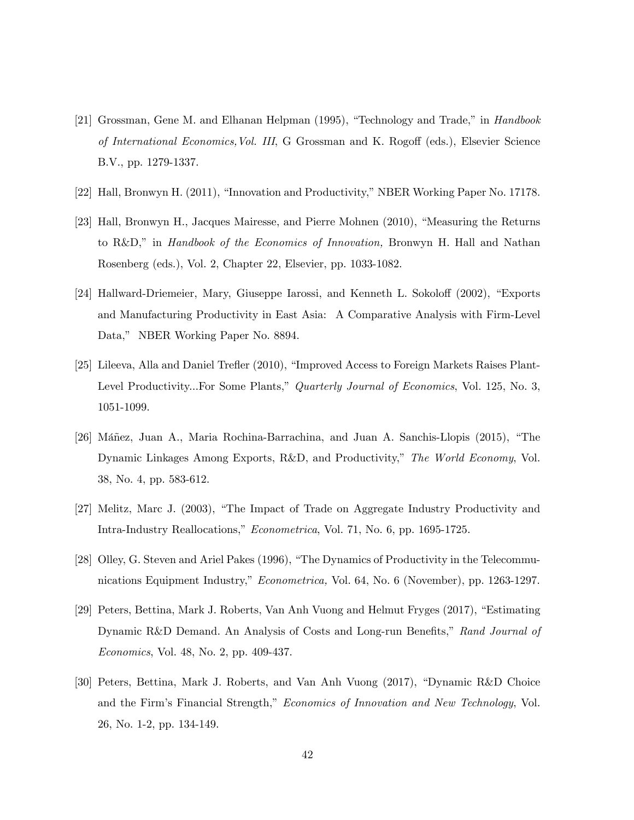- [21] Grossman, Gene M. and Elhanan Helpman  $(1995)$ , "Technology and Trade," in *Handbook* of International Economics, Vol. III, G Grossman and K. Rogoff (eds.), Elsevier Science B.V., pp. 1279-1337.
- [22] Hall, Bronwyn H. (2011), "Innovation and Productivity," NBER Working Paper No. 17178.
- [23] Hall, Bronwyn H., Jacques Mairesse, and Pierre Mohnen (2010), "Measuring the Returns to R&D," in *Handbook of the Economics of Innovation*, Bronwyn H. Hall and Nathan Rosenberg (eds.), Vol. 2, Chapter 22, Elsevier, pp. 1033-1082.
- [24] Hallward-Driemeier, Mary, Giuseppe Iarossi, and Kenneth L. Sokoloff (2002), "Exports and Manufacturing Productivity in East Asia: A Comparative Analysis with Firm-Level Data," NBER Working Paper No. 8894.
- [25] Lileeva, Alla and Daniel Trefler (2010), "Improved Access to Foreign Markets Raises Plant-Level Productivity...For Some Plants," Quarterly Journal of Economics, Vol. 125, No. 3, 1051-1099.
- [26] Máñez, Juan A., Maria Rochina-Barrachina, and Juan A. Sanchis-Llopis (2015), "The Dynamic Linkages Among Exports, R&D, and Productivity," The World Economy, Vol. 38, No. 4, pp. 583-612.
- [27] Melitz, Marc J. (2003), "The Impact of Trade on Aggregate Industry Productivity and Intra-Industry Reallocations," Econometrica, Vol. 71, No. 6, pp. 1695-1725.
- [28] Olley, G. Steven and Ariel Pakes (1996), "The Dynamics of Productivity in the Telecommunications Equipment Industry," Econometrica, Vol. 64, No. 6 (November), pp. 1263-1297.
- [29] Peters, Bettina, Mark J. Roberts, Van Anh Vuong and Helmut Fryges (2017), "Estimating Dynamic R&D Demand. An Analysis of Costs and Long-run Benefits," Rand Journal of Economics, Vol. 48, No. 2, pp. 409-437.
- [30] Peters, Bettina, Mark J. Roberts, and Van Anh Vuong (2017), "Dynamic R&D Choice and the Firm's Financial Strength," Economics of Innovation and New Technology, Vol. 26, No. 1-2, pp. 134-149.